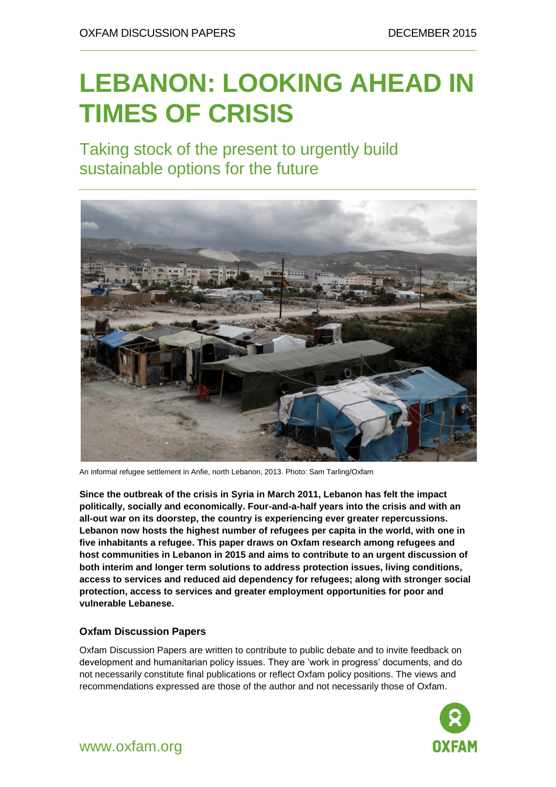# **LEBANON: LOOKING AHEAD IN TIMES OF CRISIS**

Taking stock of the present to urgently build sustainable options for the future



An informal refugee settlement in Anfie, north Lebanon, 2013. Photo: Sam Tarling/Oxfam

**Since the outbreak of the crisis in Syria in March 2011, Lebanon has felt the impact politically, socially and economically. Four-and-a-half years into the crisis and with an all-out war on its doorstep, the country is experiencing ever greater repercussions. Lebanon now hosts the highest number of refugees per capita in the world, with one in five inhabitants a refugee. This paper draws on Oxfam research among refugees and host communities in Lebanon in 2015 and aims to contribute to an urgent discussion of both interim and longer term solutions to address protection issues, living conditions, access to services and reduced aid dependency for refugees; along with stronger social protection, access to services and greater employment opportunities for poor and vulnerable Lebanese.**

#### **Oxfam Discussion Papers**

Oxfam Discussion Papers are written to contribute to public debate and to invite feedback on development and humanitarian policy issues. They are 'work in progress' documents, and do not necessarily constitute final publications or reflect Oxfam policy positions. The views and recommendations expressed are those of the author and not necessarily those of Oxfam.

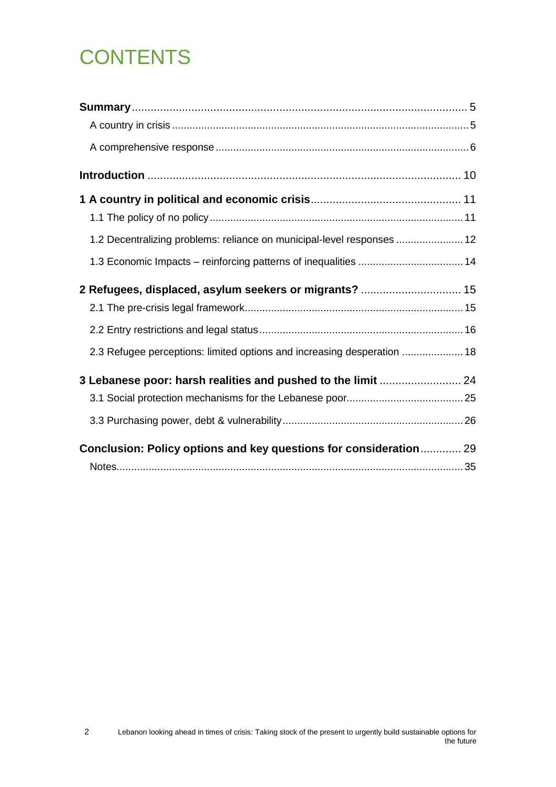# **CONTENTS**

| 1.2 Decentralizing problems: reliance on municipal-level responses  12  |  |
|-------------------------------------------------------------------------|--|
| 1.3 Economic Impacts - reinforcing patterns of inequalities  14         |  |
|                                                                         |  |
|                                                                         |  |
|                                                                         |  |
| 2.3 Refugee perceptions: limited options and increasing desperation  18 |  |
| 3 Lebanese poor: harsh realities and pushed to the limit  24            |  |
|                                                                         |  |
|                                                                         |  |
| Conclusion: Policy options and key questions for consideration 29       |  |
|                                                                         |  |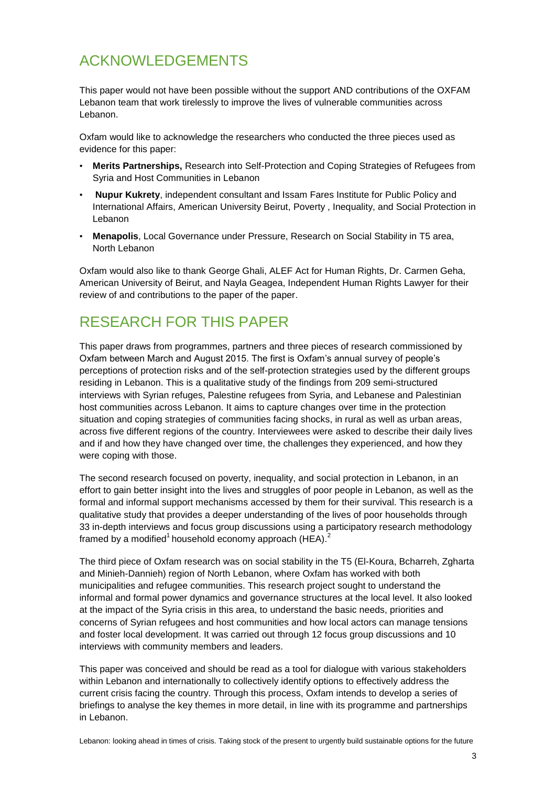## ACKNOWLEDGEMENTS

This paper would not have been possible without the support AND contributions of the OXFAM Lebanon team that work tirelessly to improve the lives of vulnerable communities across Lebanon.

Oxfam would like to acknowledge the researchers who conducted the three pieces used as evidence for this paper:

- **Merits Partnerships,** Research into Self-Protection and Coping Strategies of Refugees from Syria and Host Communities in Lebanon
- **Nupur Kukrety**, independent consultant and Issam Fares Institute for Public Policy and International Affairs, American University Beirut, Poverty , Inequality, and Social Protection in Lebanon
- **Menapolis**, Local Governance under Pressure, Research on Social Stability in T5 area, North Lebanon

Oxfam would also like to thank George Ghali, ALEF Act for Human Rights, Dr. Carmen Geha, American University of Beirut, and Nayla Geagea, Independent Human Rights Lawyer for their review of and contributions to the paper of the paper.

### RESEARCH FOR THIS PAPER

This paper draws from programmes, partners and three pieces of research commissioned by Oxfam between March and August 2015. The first is Oxfam's annual survey of people's perceptions of protection risks and of the self-protection strategies used by the different groups residing in Lebanon. This is a qualitative study of the findings from 209 semi-structured interviews with Syrian refuges, Palestine refugees from Syria, and Lebanese and Palestinian host communities across Lebanon. It aims to capture changes over time in the protection situation and coping strategies of communities facing shocks, in rural as well as urban areas, across five different regions of the country. Interviewees were asked to describe their daily lives and if and how they have changed over time, the challenges they experienced, and how they were coping with those.

The second research focused on poverty, inequality, and social protection in Lebanon, in an effort to gain better insight into the lives and struggles of poor people in Lebanon, as well as the formal and informal support mechanisms accessed by them for their survival. This research is a qualitative study that provides a deeper understanding of the lives of poor households through 33 in-depth interviews and focus group discussions using a participatory research methodology framed by a modified<sup>1</sup> household economy approach (HEA).<sup>2</sup>

The third piece of Oxfam research was on social stability in the T5 (El-Koura, Bcharreh, Zgharta and Minieh-Dannieh) region of North Lebanon, where Oxfam has worked with both municipalities and refugee communities. This research project sought to understand the informal and formal power dynamics and governance structures at the local level. It also looked at the impact of the Syria crisis in this area, to understand the basic needs, priorities and concerns of Syrian refugees and host communities and how local actors can manage tensions and foster local development. It was carried out through 12 focus group discussions and 10 interviews with community members and leaders.

This paper was conceived and should be read as a tool for dialogue with various stakeholders within Lebanon and internationally to collectively identify options to effectively address the current crisis facing the country. Through this process, Oxfam intends to develop a series of briefings to analyse the key themes in more detail, in line with its programme and partnerships in Lebanon.

Lebanon: looking ahead in times of crisis. Taking stock of the present to urgently build sustainable options for the future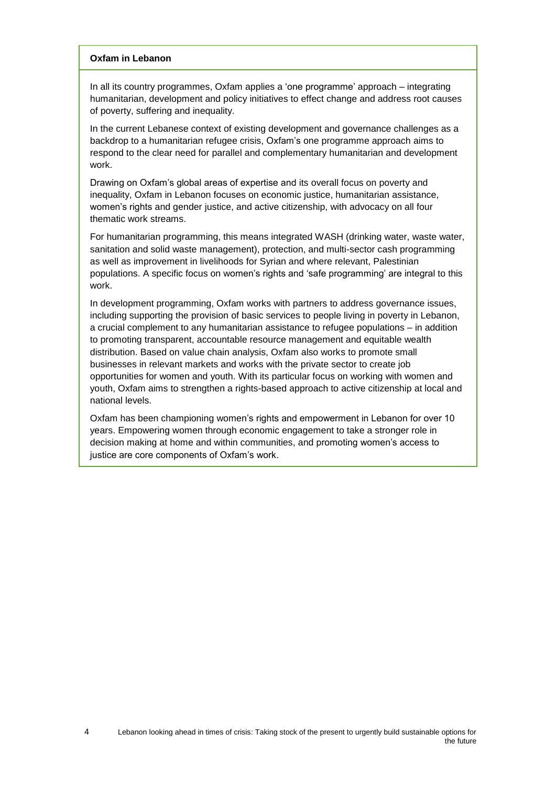#### **Oxfam in Lebanon**

In all its country programmes, Oxfam applies a 'one programme' approach – integrating humanitarian, development and policy initiatives to effect change and address root causes of poverty, suffering and inequality.

In the current Lebanese context of existing development and governance challenges as a backdrop to a humanitarian refugee crisis, Oxfam's one programme approach aims to respond to the clear need for parallel and complementary humanitarian and development work.

Drawing on Oxfam's global areas of expertise and its overall focus on poverty and inequality, Oxfam in Lebanon focuses on economic justice, humanitarian assistance, women's rights and gender justice, and active citizenship, with advocacy on all four thematic work streams.

For humanitarian programming, this means integrated WASH (drinking water, waste water, sanitation and solid waste management), protection, and multi-sector cash programming as well as improvement in livelihoods for Syrian and where relevant, Palestinian populations. A specific focus on women's rights and 'safe programming' are integral to this work.

In development programming, Oxfam works with partners to address governance issues, including supporting the provision of basic services to people living in poverty in Lebanon, a crucial complement to any humanitarian assistance to refugee populations – in addition to promoting transparent, accountable resource management and equitable wealth distribution. Based on value chain analysis, Oxfam also works to promote small businesses in relevant markets and works with the private sector to create job opportunities for women and youth. With its particular focus on working with women and youth, Oxfam aims to strengthen a rights-based approach to active citizenship at local and national levels.

Oxfam has been championing women's rights and empowerment in Lebanon for over 10 years. Empowering women through economic engagement to take a stronger role in decision making at home and within communities, and promoting women's access to justice are core components of Oxfam's work.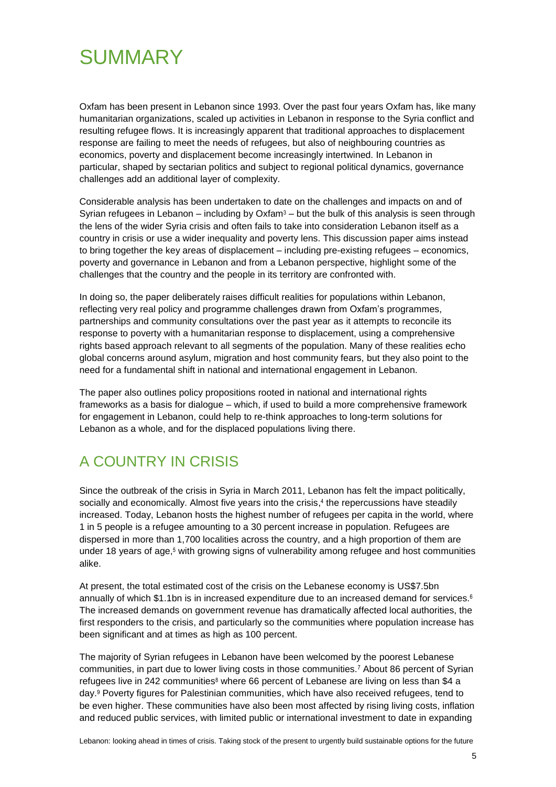## <span id="page-4-0"></span>**SUMMARY**

Oxfam has been present in Lebanon since 1993. Over the past four years Oxfam has, like many humanitarian organizations, scaled up activities in Lebanon in response to the Syria conflict and resulting refugee flows. It is increasingly apparent that traditional approaches to displacement response are failing to meet the needs of refugees, but also of neighbouring countries as economics, poverty and displacement become increasingly intertwined. In Lebanon in particular, shaped by sectarian politics and subject to regional political dynamics, governance challenges add an additional layer of complexity.

Considerable analysis has been undertaken to date on the challenges and impacts on and of Syrian refugees in Lebanon – including by Oxfam<sup>3</sup> – but the bulk of this analysis is seen through the lens of the wider Syria crisis and often fails to take into consideration Lebanon itself as a country in crisis or use a wider inequality and poverty lens. This discussion paper aims instead to bring together the key areas of displacement – including pre-existing refugees – economics, poverty and governance in Lebanon and from a Lebanon perspective, highlight some of the challenges that the country and the people in its territory are confronted with.

In doing so, the paper deliberately raises difficult realities for populations within Lebanon, reflecting very real policy and programme challenges drawn from Oxfam's programmes, partnerships and community consultations over the past year as it attempts to reconcile its response to poverty with a humanitarian response to displacement, using a comprehensive rights based approach relevant to all segments of the population. Many of these realities echo global concerns around asylum, migration and host community fears, but they also point to the need for a fundamental shift in national and international engagement in Lebanon.

The paper also outlines policy propositions rooted in national and international rights frameworks as a basis for dialogue – which, if used to build a more comprehensive framework for engagement in Lebanon, could help to re-think approaches to long-term solutions for Lebanon as a whole, and for the displaced populations living there.

## <span id="page-4-1"></span>A COUNTRY IN CRISIS

Since the outbreak of the crisis in Syria in March 2011, Lebanon has felt the impact politically, socially and economically. Almost five years into the crisis, 4 the repercussions have steadily increased. Today, Lebanon hosts the highest number of refugees per capita in the world, where 1 in 5 people is a refugee amounting to a 30 percent increase in population. Refugees are dispersed in more than 1,700 localities across the country, and a high proportion of them are under 18 years of age, <sup>5</sup> with growing signs of vulnerability among refugee and host communities alike.

At present, the total estimated cost of the crisis on the Lebanese economy is US\$7.5bn annually of which \$1.1bn is in increased expenditure due to an increased demand for services.<sup>6</sup> The increased demands on government revenue has dramatically affected local authorities, the first responders to the crisis, and particularly so the communities where population increase has been significant and at times as high as 100 percent.

The majority of Syrian refugees in Lebanon have been welcomed by the poorest Lebanese communities, in part due to lower living costs in those communities.<sup>7</sup> About 86 percent of Syrian refugees live in 242 communities<sup>8</sup> where 66 percent of Lebanese are living on less than \$4 a day.<sup>9</sup> Poverty figures for Palestinian communities, which have also received refugees, tend to be even higher. These communities have also been most affected by rising living costs, inflation and reduced public services, with limited public or international investment to date in expanding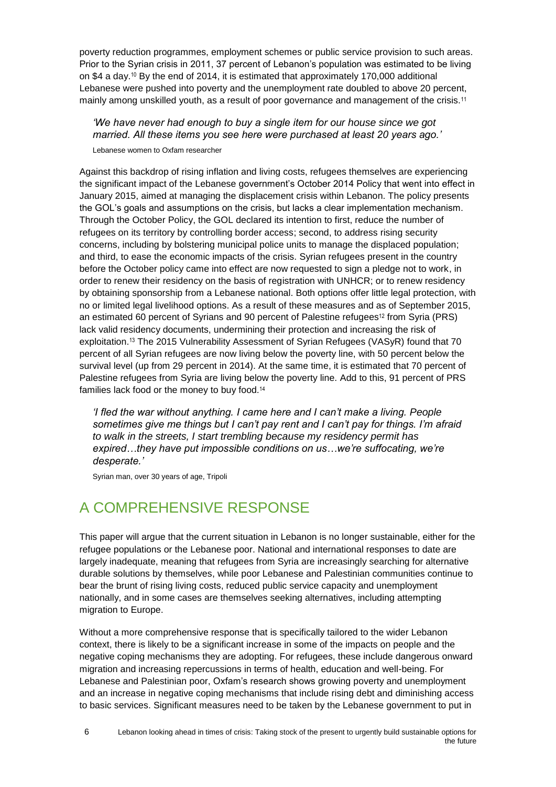poverty reduction programmes, employment schemes or public service provision to such areas. Prior to the Syrian crisis in 2011, 37 percent of Lebanon's population was estimated to be living on \$4 a day.<sup>10</sup> By the end of 2014, it is estimated that approximately 170,000 additional Lebanese were pushed into poverty and the unemployment rate doubled to above 20 percent, mainly among unskilled youth, as a result of poor governance and management of the crisis.<sup>11</sup>

*'We have never had enough to buy a single item for our house since we got married. All these items you see here were purchased at least 20 years ago.'* 

Lebanese women to Oxfam researcher

Against this backdrop of rising inflation and living costs, refugees themselves are experiencing the significant impact of the Lebanese government's October 2014 Policy that went into effect in January 2015, aimed at managing the displacement crisis within Lebanon. The policy presents the GOL's goals and assumptions on the crisis, but lacks a clear implementation mechanism. Through the October Policy, the GOL declared its intention to first, reduce the number of refugees on its territory by controlling border access; second, to address rising security concerns, including by bolstering municipal police units to manage the displaced population; and third, to ease the economic impacts of the crisis. Syrian refugees present in the country before the October policy came into effect are now requested to sign a pledge not to work, in order to renew their residency on the basis of registration with UNHCR; or to renew residency by obtaining sponsorship from a Lebanese national. Both options offer little legal protection, with no or limited legal livelihood options. As a result of these measures and as of September 2015, an estimated 60 percent of Syrians and 90 percent of Palestine refugees<sup>12</sup> from Syria (PRS) lack valid residency documents, undermining their protection and increasing the risk of exploitation.<sup>13</sup> The 2015 Vulnerability Assessment of Syrian Refugees (VASyR) found that 70 percent of all Syrian refugees are now living below the poverty line, with 50 percent below the survival level (up from 29 percent in 2014). At the same time, it is estimated that 70 percent of Palestine refugees from Syria are living below the poverty line. Add to this, 91 percent of PRS families lack food or the money to buy food.<sup>14</sup>

*'I fled the war without anything. I came here and I can't make a living. People sometimes give me things but I can't pay rent and I can't pay for things. I'm afraid to walk in the streets, I start trembling because my residency permit has expired…they have put impossible conditions on us…we're suffocating, we're desperate.'*

Syrian man, over 30 years of age, Tripoli

## <span id="page-5-0"></span>A COMPREHENSIVE RESPONSE

This paper will argue that the current situation in Lebanon is no longer sustainable, either for the refugee populations or the Lebanese poor. National and international responses to date are largely inadequate, meaning that refugees from Syria are increasingly searching for alternative durable solutions by themselves, while poor Lebanese and Palestinian communities continue to bear the brunt of rising living costs, reduced public service capacity and unemployment nationally, and in some cases are themselves seeking alternatives, including attempting migration to Europe.

Without a more comprehensive response that is specifically tailored to the wider Lebanon context, there is likely to be a significant increase in some of the impacts on people and the negative coping mechanisms they are adopting. For refugees, these include dangerous onward migration and increasing repercussions in terms of health, education and well-being. For Lebanese and Palestinian poor, Oxfam's research shows growing poverty and unemployment and an increase in negative coping mechanisms that include rising debt and diminishing access to basic services. Significant measures need to be taken by the Lebanese government to put in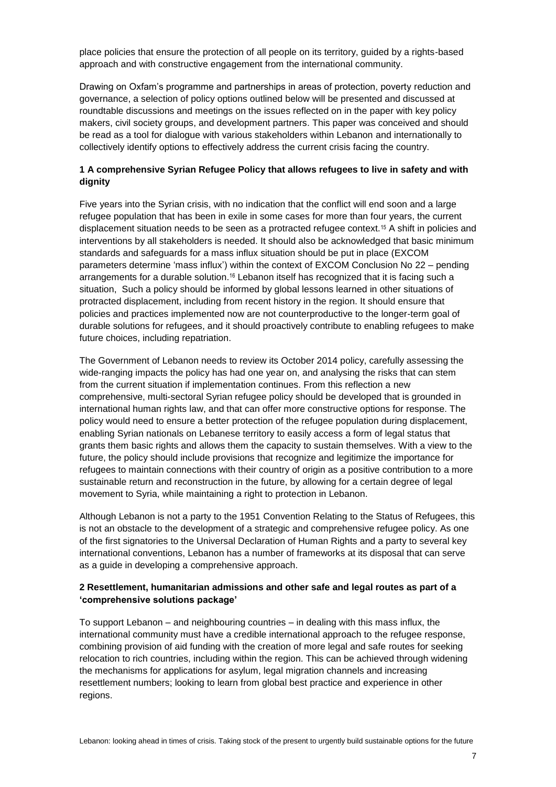place policies that ensure the protection of all people on its territory, guided by a rights-based approach and with constructive engagement from the international community.

Drawing on Oxfam's programme and partnerships in areas of protection, poverty reduction and governance, a selection of policy options outlined below will be presented and discussed at roundtable discussions and meetings on the issues reflected on in the paper with key policy makers, civil society groups, and development partners. This paper was conceived and should be read as a tool for dialogue with various stakeholders within Lebanon and internationally to collectively identify options to effectively address the current crisis facing the country.

#### **1 A comprehensive Syrian Refugee Policy that allows refugees to live in safety and with dignity**

Five years into the Syrian crisis, with no indication that the conflict will end soon and a large refugee population that has been in exile in some cases for more than four years, the current displacement situation needs to be seen as a protracted refugee context.<sup>15</sup> A shift in policies and interventions by all stakeholders is needed. It should also be acknowledged that basic minimum standards and safeguards for a mass influx situation should be put in place (EXCOM parameters determine 'mass influx') within the context of EXCOM Conclusion No 22 – pending arrangements for a durable solution.<sup>16</sup> Lebanon itself has recognized that it is facing such a situation, Such a policy should be informed by global lessons learned in other situations of protracted displacement, including from recent history in the region. It should ensure that policies and practices implemented now are not counterproductive to the longer-term goal of durable solutions for refugees, and it should proactively contribute to enabling refugees to make future choices, including repatriation.

The Government of Lebanon needs to review its October 2014 policy, carefully assessing the wide-ranging impacts the policy has had one year on, and analysing the risks that can stem from the current situation if implementation continues. From this reflection a new comprehensive, multi-sectoral Syrian refugee policy should be developed that is grounded in international human rights law, and that can offer more constructive options for response. The policy would need to ensure a better protection of the refugee population during displacement, enabling Syrian nationals on Lebanese territory to easily access a form of legal status that grants them basic rights and allows them the capacity to sustain themselves. With a view to the future, the policy should include provisions that recognize and legitimize the importance for refugees to maintain connections with their country of origin as a positive contribution to a more sustainable return and reconstruction in the future, by allowing for a certain degree of legal movement to Syria, while maintaining a right to protection in Lebanon.

Although Lebanon is not a party to the 1951 Convention Relating to the Status of Refugees, this is not an obstacle to the development of a strategic and comprehensive refugee policy. As one of the first signatories to the Universal Declaration of Human Rights and a party to several key international conventions, Lebanon has a number of frameworks at its disposal that can serve as a guide in developing a comprehensive approach.

#### **2 Resettlement, humanitarian admissions and other safe and legal routes as part of a 'comprehensive solutions package'**

To support Lebanon – and neighbouring countries – in dealing with this mass influx, the international community must have a credible international approach to the refugee response, combining provision of aid funding with the creation of more legal and safe routes for seeking relocation to rich countries, including within the region. This can be achieved through widening the mechanisms for applications for asylum, legal migration channels and increasing resettlement numbers; looking to learn from global best practice and experience in other regions.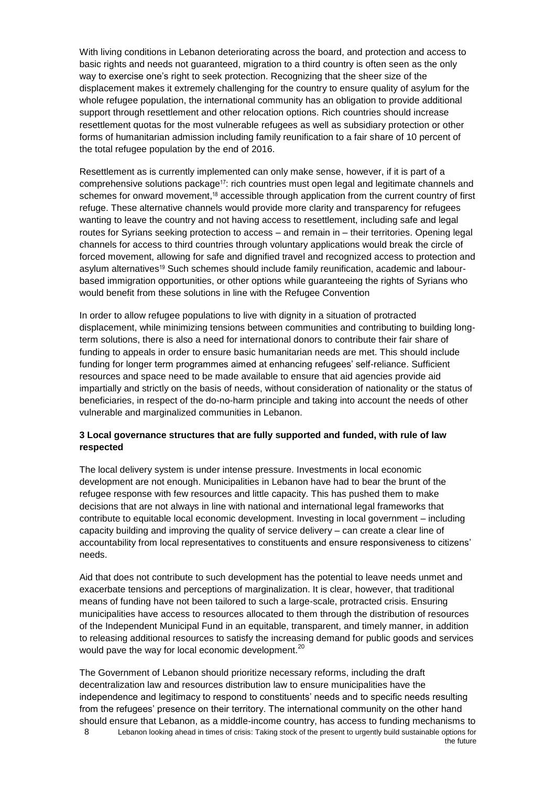With living conditions in Lebanon deteriorating across the board, and protection and access to basic rights and needs not guaranteed, migration to a third country is often seen as the only way to exercise one's right to seek protection. Recognizing that the sheer size of the displacement makes it extremely challenging for the country to ensure quality of asylum for the whole refugee population, the international community has an obligation to provide additional support through resettlement and other relocation options. Rich countries should increase resettlement quotas for the most vulnerable refugees as well as subsidiary protection or other forms of humanitarian admission including family reunification to a fair share of 10 percent of the total refugee population by the end of 2016.

Resettlement as is currently implemented can only make sense, however, if it is part of a comprehensive solutions package17: rich countries must open legal and legitimate channels and schemes for onward movement,<sup>18</sup> accessible through application from the current country of first refuge. These alternative channels would provide more clarity and transparency for refugees wanting to leave the country and not having access to resettlement, including safe and legal routes for Syrians seeking protection to access – and remain in – their territories. Opening legal channels for access to third countries through voluntary applications would break the circle of forced movement, allowing for safe and dignified travel and recognized access to protection and asylum alternatives<sup>19</sup> Such schemes should include family reunification, academic and labourbased immigration opportunities, or other options while guaranteeing the rights of Syrians who would benefit from these solutions in line with the Refugee Convention

In order to allow refugee populations to live with dignity in a situation of protracted displacement, while minimizing tensions between communities and contributing to building longterm solutions, there is also a need for international donors to contribute their fair share of funding to appeals in order to ensure basic humanitarian needs are met. This should include funding for longer term programmes aimed at enhancing refugees' self-reliance. Sufficient resources and space need to be made available to ensure that aid agencies provide aid impartially and strictly on the basis of needs, without consideration of nationality or the status of beneficiaries, in respect of the do-no-harm principle and taking into account the needs of other vulnerable and marginalized communities in Lebanon.

#### **3 Local governance structures that are fully supported and funded, with rule of law respected**

The local delivery system is under intense pressure. Investments in local economic development are not enough. Municipalities in Lebanon have had to bear the brunt of the refugee response with few resources and little capacity. This has pushed them to make decisions that are not always in line with national and international legal frameworks that contribute to equitable local economic development. Investing in local government – including capacity building and improving the quality of service delivery – can create a clear line of accountability from local representatives to constituents and ensure responsiveness to citizens' needs.

Aid that does not contribute to such development has the potential to leave needs unmet and exacerbate tensions and perceptions of marginalization. It is clear, however, that traditional means of funding have not been tailored to such a large-scale, protracted crisis. Ensuring municipalities have access to resources allocated to them through the distribution of resources of the Independent Municipal Fund in an equitable, transparent, and timely manner, in addition to releasing additional resources to satisfy the increasing demand for public goods and services would pave the way for local economic development.<sup>20</sup>

8 Lebanon looking ahead in times of crisis: Taking stock of the present to urgently build sustainable options for the future The Government of Lebanon should prioritize necessary reforms, including the draft decentralization law and resources distribution law to ensure municipalities have the independence and legitimacy to respond to constituents' needs and to specific needs resulting from the refugees' presence on their territory. The international community on the other hand should ensure that Lebanon, as a middle-income country, has access to funding mechanisms to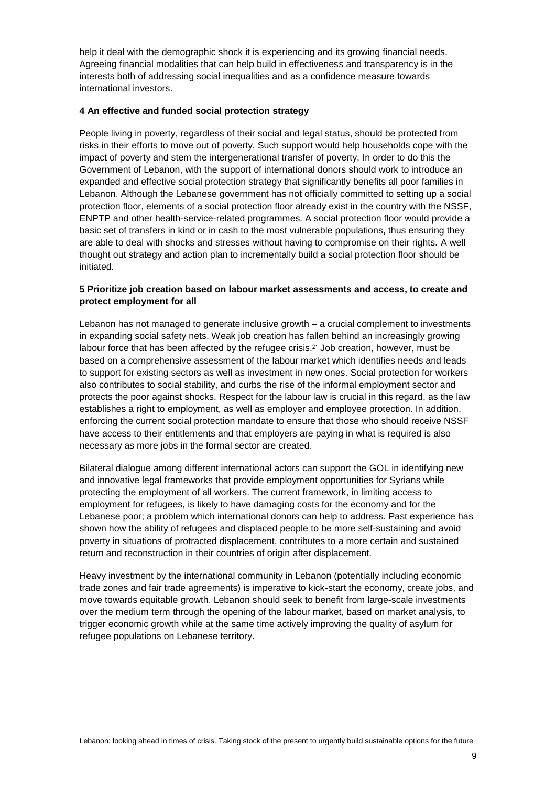help it deal with the demographic shock it is experiencing and its growing financial needs. Agreeing financial modalities that can help build in effectiveness and transparency is in the interests both of addressing social inequalities and as a confidence measure towards international investors.

#### **4 An effective and funded social protection strategy**

People living in poverty, regardless of their social and legal status, should be protected from risks in their efforts to move out of poverty. Such support would help households cope with the impact of poverty and stem the intergenerational transfer of poverty. In order to do this the Government of Lebanon, with the support of international donors should work to introduce an expanded and effective social protection strategy that significantly benefits all poor families in Lebanon. Although the Lebanese government has not officially committed to setting up a social protection floor, elements of a social protection floor already exist in the country with the NSSF, ENPTP and other health-service-related programmes. A social protection floor would provide a basic set of transfers in kind or in cash to the most vulnerable populations, thus ensuring they are able to deal with shocks and stresses without having to compromise on their rights. A well thought out strategy and action plan to incrementally build a social protection floor should be initiated.

#### **5 Prioritize job creation based on labour market assessments and access, to create and protect employment for all**

Lebanon has not managed to generate inclusive growth – a crucial complement to investments in expanding social safety nets. Weak job creation has fallen behind an increasingly growing labour force that has been affected by the refugee crisis.<sup>21</sup> Job creation, however, must be based on a comprehensive assessment of the labour market which identifies needs and leads to support for existing sectors as well as investment in new ones. Social protection for workers also contributes to social stability, and curbs the rise of the informal employment sector and protects the poor against shocks. Respect for the labour law is crucial in this regard, as the law establishes a right to employment, as well as employer and employee protection. In addition, enforcing the current social protection mandate to ensure that those who should receive NSSF have access to their entitlements and that employers are paying in what is required is also necessary as more jobs in the formal sector are created.

Bilateral dialogue among different international actors can support the GOL in identifying new and innovative legal frameworks that provide employment opportunities for Syrians while protecting the employment of all workers. The current framework, in limiting access to employment for refugees, is likely to have damaging costs for the economy and for the Lebanese poor; a problem which international donors can help to address. Past experience has shown how the ability of refugees and displaced people to be more self-sustaining and avoid poverty in situations of protracted displacement, contributes to a more certain and sustained return and reconstruction in their countries of origin after displacement.

Heavy investment by the international community in Lebanon (potentially including economic trade zones and fair trade agreements) is imperative to kick-start the economy, create jobs, and move towards equitable growth. Lebanon should seek to benefit from large-scale investments over the medium term through the opening of the labour market, based on market analysis, to trigger economic growth while at the same time actively improving the quality of asylum for refugee populations on Lebanese territory.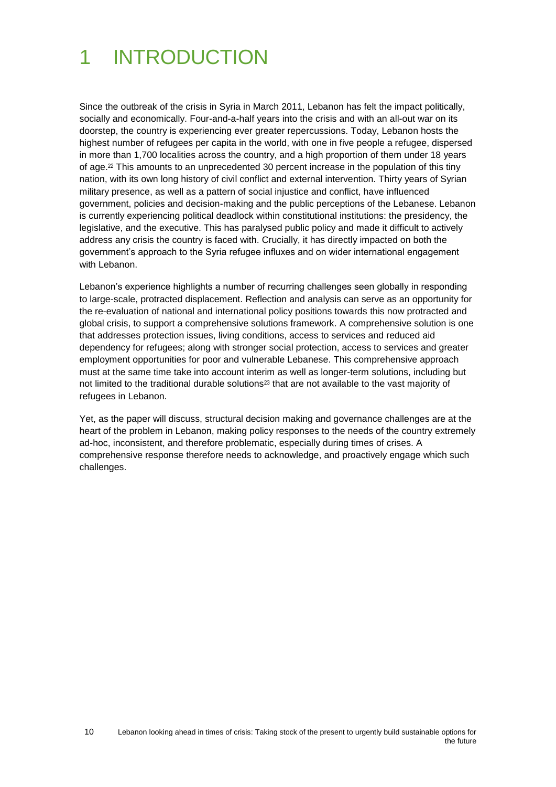# <span id="page-9-0"></span>1 INTRODUCTION

Since the outbreak of the crisis in Syria in March 2011, Lebanon has felt the impact politically, socially and economically. Four-and-a-half years into the crisis and with an all-out war on its doorstep, the country is experiencing ever greater repercussions. Today, Lebanon hosts the highest number of refugees per capita in the world, with one in five people a refugee, dispersed in more than 1,700 localities across the country, and a high proportion of them under 18 years of age.<sup>22</sup> This amounts to an unprecedented 30 percent increase in the population of this tiny nation, with its own long history of civil conflict and external intervention. Thirty years of Syrian military presence, as well as a pattern of social injustice and conflict, have influenced government, policies and decision-making and the public perceptions of the Lebanese. Lebanon is currently experiencing political deadlock within constitutional institutions: the presidency, the legislative, and the executive. This has paralysed public policy and made it difficult to actively address any crisis the country is faced with. Crucially, it has directly impacted on both the government's approach to the Syria refugee influxes and on wider international engagement with Lebanon.

Lebanon's experience highlights a number of recurring challenges seen globally in responding to large-scale, protracted displacement. Reflection and analysis can serve as an opportunity for the re-evaluation of national and international policy positions towards this now protracted and global crisis, to support a comprehensive solutions framework. A comprehensive solution is one that addresses protection issues, living conditions, access to services and reduced aid dependency for refugees; along with stronger social protection, access to services and greater employment opportunities for poor and vulnerable Lebanese. This comprehensive approach must at the same time take into account interim as well as longer-term solutions, including but not limited to the traditional durable solutions<sup>23</sup> that are not available to the vast majority of refugees in Lebanon.

Yet, as the paper will discuss, structural decision making and governance challenges are at the heart of the problem in Lebanon, making policy responses to the needs of the country extremely ad-hoc, inconsistent, and therefore problematic, especially during times of crises. A comprehensive response therefore needs to acknowledge, and proactively engage which such challenges.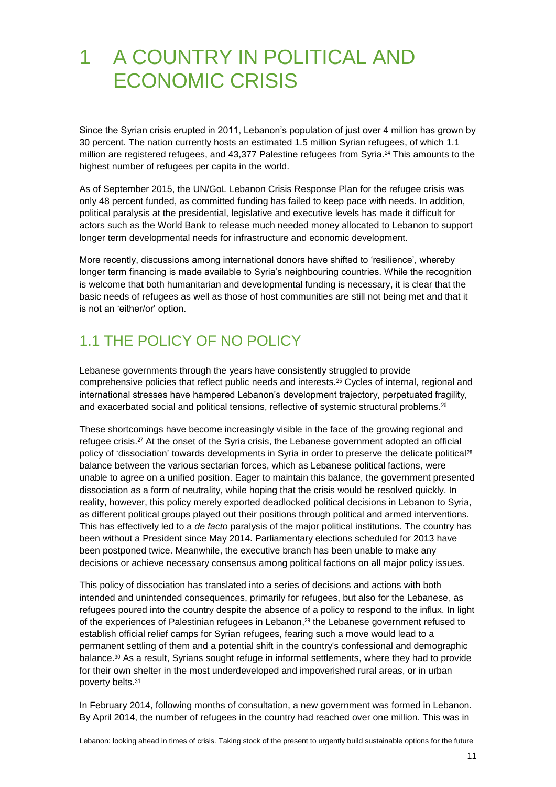# <span id="page-10-0"></span>1 A COUNTRY IN POLITICAL AND ECONOMIC CRISIS

Since the Syrian crisis erupted in 2011, Lebanon's population of just over 4 million has grown by 30 percent. The nation currently hosts an estimated 1.5 million Syrian refugees, of which 1.1 million are registered refugees, and 43,377 Palestine refugees from Syria. <sup>24</sup> This amounts to the highest number of refugees per capita in the world.

As of September 2015, the UN/GoL Lebanon Crisis Response Plan for the refugee crisis was only 48 percent funded, as committed funding has failed to keep pace with needs. In addition, political paralysis at the presidential, legislative and executive levels has made it difficult for actors such as the World Bank to release much needed money allocated to Lebanon to support longer term developmental needs for infrastructure and economic development.

More recently, discussions among international donors have shifted to 'resilience', whereby longer term financing is made available to Syria's neighbouring countries. While the recognition is welcome that both humanitarian and developmental funding is necessary, it is clear that the basic needs of refugees as well as those of host communities are still not being met and that it is not an 'either/or' option.

## <span id="page-10-1"></span>1.1 THE POLICY OF NO POLICY

Lebanese governments through the years have consistently struggled to provide comprehensive policies that reflect public needs and interests.<sup>25</sup> Cycles of internal, regional and international stresses have hampered Lebanon's development trajectory, perpetuated fragility, and exacerbated social and political tensions, reflective of systemic structural problems.<sup>26</sup>

These shortcomings have become increasingly visible in the face of the growing regional and refugee crisis.<sup>27</sup> At the onset of the Syria crisis, the Lebanese government adopted an official policy of 'dissociation' towards developments in Syria in order to preserve the delicate political<sup>28</sup> balance between the various sectarian forces, which as Lebanese political factions, were unable to agree on a unified position. Eager to maintain this balance, the government presented dissociation as a form of neutrality, while hoping that the crisis would be resolved quickly. In reality, however, this policy merely exported deadlocked political decisions in Lebanon to Syria, as different political groups played out their positions through political and armed interventions. This has effectively led to a *de facto* paralysis of the major political institutions. The country has been without a President since May 2014. Parliamentary elections scheduled for 2013 have been postponed twice. Meanwhile, the executive branch has been unable to make any decisions or achieve necessary consensus among political factions on all major policy issues.

This policy of dissociation has translated into a series of decisions and actions with both intended and unintended consequences, primarily for refugees, but also for the Lebanese, as refugees poured into the country despite the absence of a policy to respond to the influx. In light of the experiences of Palestinian refugees in Lebanon, <sup>29</sup> the Lebanese government refused to establish official relief camps for Syrian refugees, fearing such a move would lead to a permanent settling of them and a potential shift in the country's confessional and demographic balance.<sup>30</sup> As a result, Syrians sought refuge in informal settlements, where they had to provide for their own shelter in the most underdeveloped and impoverished rural areas, or in urban poverty belts.<sup>31</sup>

In February 2014, following months of consultation, a new government was formed in Lebanon. By April 2014, the number of refugees in the country had reached over one million. This was in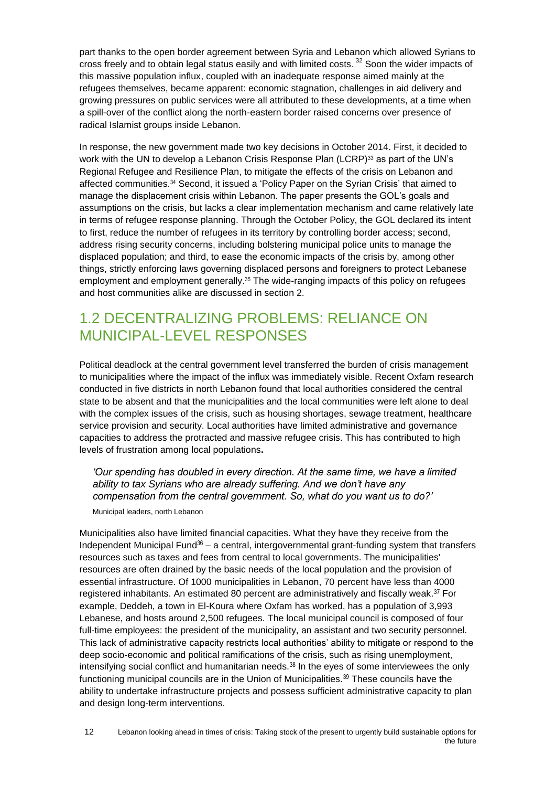part thanks to the open border agreement between Syria and Lebanon which allowed Syrians to cross freely and to obtain legal status easily and with limited costs.<sup>32</sup> Soon the wider impacts of this massive population influx, coupled with an inadequate response aimed mainly at the refugees themselves, became apparent: economic stagnation, challenges in aid delivery and growing pressures on public services were all attributed to these developments, at a time when a spill-over of the conflict along the north-eastern border raised concerns over presence of radical Islamist groups inside Lebanon.

In response, the new government made two key decisions in October 2014. First, it decided to work with the UN to develop a Lebanon Crisis Response Plan (LCRP) $^{33}$  as part of the UN's Regional Refugee and Resilience Plan, to mitigate the effects of the crisis on Lebanon and affected communities.<sup>34</sup> Second, it issued a 'Policy Paper on the Syrian Crisis' that aimed to manage the displacement crisis within Lebanon. The paper presents the GOL's goals and assumptions on the crisis, but lacks a clear implementation mechanism and came relatively late in terms of refugee response planning. Through the October Policy, the GOL declared its intent to first, reduce the number of refugees in its territory by controlling border access; second, address rising security concerns, including bolstering municipal police units to manage the displaced population; and third, to ease the economic impacts of the crisis by, among other things, strictly enforcing laws governing displaced persons and foreigners to protect Lebanese employment and employment generally.<sup>35</sup> The wide-ranging impacts of this policy on refugees and host communities alike are discussed in section 2.

### <span id="page-11-0"></span>1.2 DECENTRALIZING PROBLEMS: RELIANCE ON MUNICIPAL-LEVEL RESPONSES

Political deadlock at the central government level transferred the burden of crisis management to municipalities where the impact of the influx was immediately visible. Recent Oxfam research conducted in five districts in north Lebanon found that local authorities considered the central state to be absent and that the municipalities and the local communities were left alone to deal with the complex issues of the crisis, such as housing shortages, sewage treatment, healthcare service provision and security. Local authorities have limited administrative and governance capacities to address the protracted and massive refugee crisis. This has contributed to high levels of frustration among local populations**.**

*'Our spending has doubled in every direction. At the same time, we have a limited ability to tax Syrians who are already suffering. And we don't have any compensation from the central government. So, what do you want us to do?'* 

Municipal leaders, north Lebanon

Municipalities also have limited financial capacities. What they have they receive from the Independent Municipal Fund $36 - a$  central, intergovernmental grant-funding system that transfers resources such as taxes and fees from central to local governments. The municipalities' resources are often drained by the basic needs of the local population and the provision of essential infrastructure. Of 1000 municipalities in Lebanon, 70 percent have less than 4000 registered inhabitants. An estimated 80 percent are administratively and fiscally weak.<sup>37</sup> For example, Deddeh, a town in El-Koura where Oxfam has worked, has a population of 3,993 Lebanese, and hosts around 2,500 refugees. The local municipal council is composed of four full-time employees: the president of the municipality, an assistant and two security personnel. This lack of administrative capacity restricts local authorities' ability to mitigate or respond to the deep socio-economic and political ramifications of the crisis, such as rising unemployment, intensifying social conflict and humanitarian needs. $38$  In the eyes of some interviewees the only functioning municipal councils are in the Union of Municipalities. $39$  These councils have the ability to undertake infrastructure projects and possess sufficient administrative capacity to plan and design long-term interventions.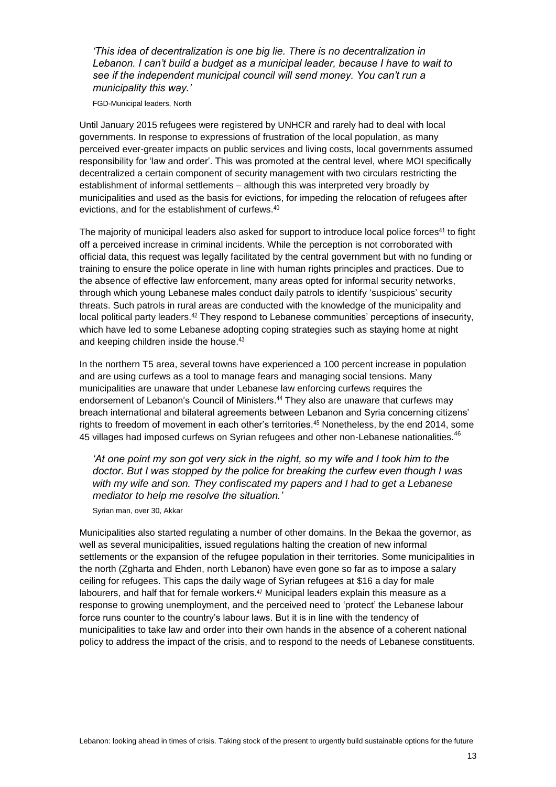*'This idea of decentralization is one big lie. There is no decentralization in Lebanon. I can't build a budget as a municipal leader, because I have to wait to see if the independent municipal council will send money. You can't run a municipality this way.'* 

FGD-Municipal leaders, North

Until January 2015 refugees were registered by UNHCR and rarely had to deal with local governments. In response to expressions of frustration of the local population, as many perceived ever-greater impacts on public services and living costs, local governments assumed responsibility for 'law and order'. This was promoted at the central level, where MOI specifically decentralized a certain component of security management with two circulars restricting the establishment of informal settlements – although this was interpreted very broadly by municipalities and used as the basis for evictions, for impeding the relocation of refugees after evictions, and for the establishment of curfews.<sup>40</sup>

The majority of municipal leaders also asked for support to introduce local police forces<sup>41</sup> to fight off a perceived increase in criminal incidents. While the perception is not corroborated with official data, this request was legally facilitated by the central government but with no funding or training to ensure the police operate in line with human rights principles and practices. Due to the absence of effective law enforcement, many areas opted for informal security networks, through which young Lebanese males conduct daily patrols to identify 'suspicious' security threats. Such patrols in rural areas are conducted with the knowledge of the municipality and local political party leaders.<sup>42</sup> They respond to Lebanese communities' perceptions of insecurity, which have led to some Lebanese adopting coping strategies such as staying home at night and keeping children inside the house.<sup>43</sup>

In the northern T5 area, several towns have experienced a 100 percent increase in population and are using curfews as a tool to manage fears and managing social tensions. Many municipalities are unaware that under Lebanese law enforcing curfews requires the endorsement of Lebanon's Council of Ministers.<sup>44</sup> They also are unaware that curfews may breach international and bilateral agreements between Lebanon and Syria concerning citizens' rights to freedom of movement in each other's territories.<sup>45</sup> Nonetheless, by the end 2014, some 45 villages had imposed curfews on Syrian refugees and other non-Lebanese nationalities.<sup>46</sup>

*'At one point my son got very sick in the night, so my wife and I took him to the doctor. But I was stopped by the police for breaking the curfew even though I was with my wife and son. They confiscated my papers and I had to get a Lebanese mediator to help me resolve the situation.'* 

Syrian man, over 30, Akkar

Municipalities also started regulating a number of other domains. In the Bekaa the governor, as well as several municipalities, issued regulations halting the creation of new informal settlements or the expansion of the refugee population in their territories. Some municipalities in the north (Zgharta and Ehden, north Lebanon) have even gone so far as to impose a salary ceiling for refugees. This caps the daily wage of Syrian refugees at \$16 a day for male labourers, and half that for female workers.<sup>47</sup> Municipal leaders explain this measure as a response to growing unemployment, and the perceived need to 'protect' the Lebanese labour force runs counter to the country's labour laws. But it is in line with the tendency of municipalities to take law and order into their own hands in the absence of a coherent national policy to address the impact of the crisis, and to respond to the needs of Lebanese constituents.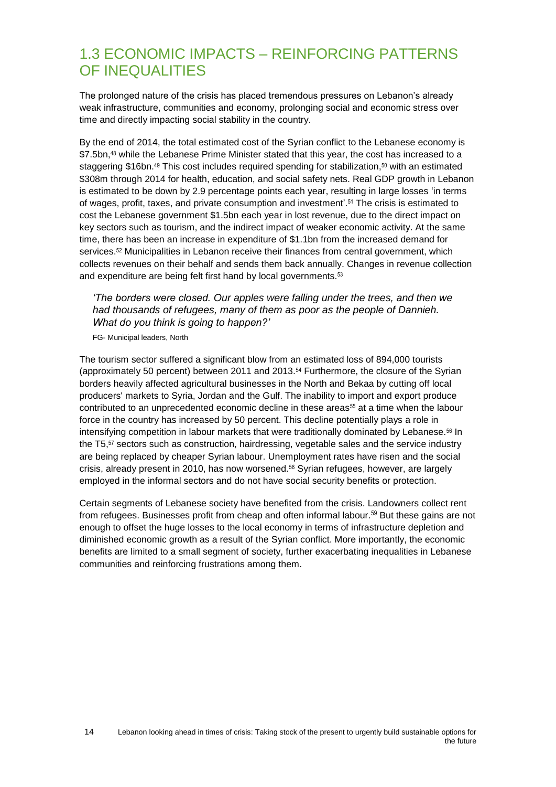### <span id="page-13-0"></span>1.3 ECONOMIC IMPACTS – REINFORCING PATTERNS OF INEQUALITIES

The prolonged nature of the crisis has placed tremendous pressures on Lebanon's already weak infrastructure, communities and economy, prolonging social and economic stress over time and directly impacting social stability in the country.

By the end of 2014, the total estimated cost of the Syrian conflict to the Lebanese economy is \$7.5bn,<sup>48</sup> while the Lebanese Prime Minister stated that this year, the cost has increased to a staggering \$16bn.<sup>49</sup> This cost includes required spending for stabilization,<sup>50</sup> with an estimated \$308m through 2014 for health, education, and social safety nets. Real GDP growth in Lebanon is estimated to be down by 2.9 percentage points each year, resulting in large losses 'in terms of wages, profit, taxes, and private consumption and investment'. <sup>51</sup> The crisis is estimated to cost the Lebanese government \$1.5bn each year in lost revenue, due to the direct impact on key sectors such as tourism, and the indirect impact of weaker economic activity. At the same time, there has been an increase in expenditure of \$1.1bn from the increased demand for services.<sup>52</sup> Municipalities in Lebanon receive their finances from central government, which collects revenues on their behalf and sends them back annually. Changes in revenue collection and expenditure are being felt first hand by local governments.<sup>53</sup>

#### *'The borders were closed. Our apples were falling under the trees, and then we had thousands of refugees, many of them as poor as the people of Dannieh. What do you think is going to happen?'*

FG- Municipal leaders, North

The tourism sector suffered a significant blow from an estimated loss of 894,000 tourists (approximately 50 percent) between 2011 and 2013.<sup>54</sup> Furthermore, the closure of the Syrian borders heavily affected agricultural businesses in the North and Bekaa by cutting off local producers' markets to Syria, Jordan and the Gulf. The inability to import and export produce contributed to an unprecedented economic decline in these areas<sup>55</sup> at a time when the labour force in the country has increased by 50 percent. This decline potentially plays a role in intensifying competition in labour markets that were traditionally dominated by Lebanese.<sup>56</sup> In the T5,<sup>57</sup> sectors such as construction, hairdressing, vegetable sales and the service industry are being replaced by cheaper Syrian labour. Unemployment rates have risen and the social crisis, already present in 2010, has now worsened.<sup>58</sup> Syrian refugees, however, are largely employed in the informal sectors and do not have social security benefits or protection.

Certain segments of Lebanese society have benefited from the crisis. Landowners collect rent from refugees. Businesses profit from cheap and often informal labour.<sup>59</sup> But these gains are not enough to offset the huge losses to the local economy in terms of infrastructure depletion and diminished economic growth as a result of the Syrian conflict. More importantly, the economic benefits are limited to a small segment of society, further exacerbating inequalities in Lebanese communities and reinforcing frustrations among them.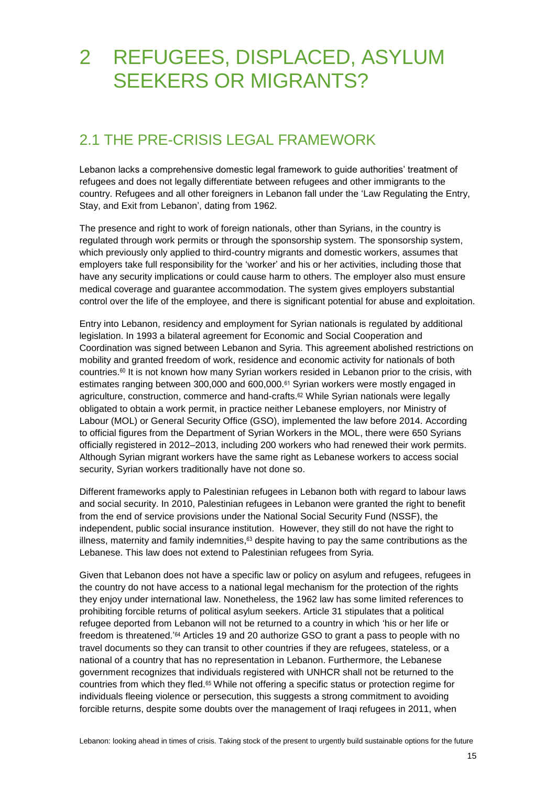## <span id="page-14-0"></span>2 REFUGEES, DISPLACED, ASYLUM SEEKERS OR MIGRANTS?

## <span id="page-14-1"></span>2.1 THE PRE-CRISIS LEGAL FRAMEWORK

Lebanon lacks a comprehensive domestic legal framework to guide authorities' treatment of refugees and does not legally differentiate between refugees and other immigrants to the country. Refugees and all other foreigners in Lebanon fall under the 'Law Regulating the Entry, Stay, and Exit from Lebanon', dating from 1962.

The presence and right to work of foreign nationals, other than Syrians, in the country is regulated through work permits or through the sponsorship system. The sponsorship system, which previously only applied to third-country migrants and domestic workers, assumes that employers take full responsibility for the 'worker' and his or her activities, including those that have any security implications or could cause harm to others. The employer also must ensure medical coverage and guarantee accommodation. The system gives employers substantial control over the life of the employee, and there is significant potential for abuse and exploitation.

Entry into Lebanon, residency and employment for Syrian nationals is regulated by additional legislation. In 1993 a bilateral agreement for Economic and Social Cooperation and Coordination was signed between Lebanon and Syria. This agreement abolished restrictions on mobility and granted freedom of work, residence and economic activity for nationals of both countries.<sup>60</sup> It is not known how many Syrian workers resided in Lebanon prior to the crisis, with estimates ranging between 300,000 and 600,000.<sup>61</sup> Syrian workers were mostly engaged in agriculture, construction, commerce and hand-crafts.<sup>62</sup> While Syrian nationals were legally obligated to obtain a work permit, in practice neither Lebanese employers, nor Ministry of Labour (MOL) or General Security Office (GSO), implemented the law before 2014. According to official figures from the Department of Syrian Workers in the MOL, there were 650 Syrians officially registered in 2012–2013, including 200 workers who had renewed their work permits. Although Syrian migrant workers have the same right as Lebanese workers to access social security, Syrian workers traditionally have not done so.

Different frameworks apply to Palestinian refugees in Lebanon both with regard to labour laws and social security. In 2010, Palestinian refugees in Lebanon were granted the right to benefit from the end of service provisions under the National Social Security Fund (NSSF), the independent, public social insurance institution. However, they still do not have the right to illness, maternity and family indemnities,<sup>63</sup> despite having to pay the same contributions as the Lebanese. This law does not extend to Palestinian refugees from Syria.

Given that Lebanon does not have a specific law or policy on asylum and refugees, refugees in the country do not have access to a national legal mechanism for the protection of the rights they enjoy under international law. Nonetheless, the 1962 law has some limited references to prohibiting forcible returns of political asylum seekers. Article 31 stipulates that a political refugee deported from Lebanon will not be returned to a country in which 'his or her life or freedom is threatened.<sup>'64</sup> Articles 19 and 20 authorize GSO to grant a pass to people with no travel documents so they can transit to other countries if they are refugees, stateless, or a national of a country that has no representation in Lebanon. Furthermore, the Lebanese government recognizes that individuals registered with UNHCR shall not be returned to the countries from which they fled.<sup>65</sup> While not offering a specific status or protection regime for individuals fleeing violence or persecution, this suggests a strong commitment to avoiding forcible returns, despite some doubts over the management of Iraqi refugees in 2011, when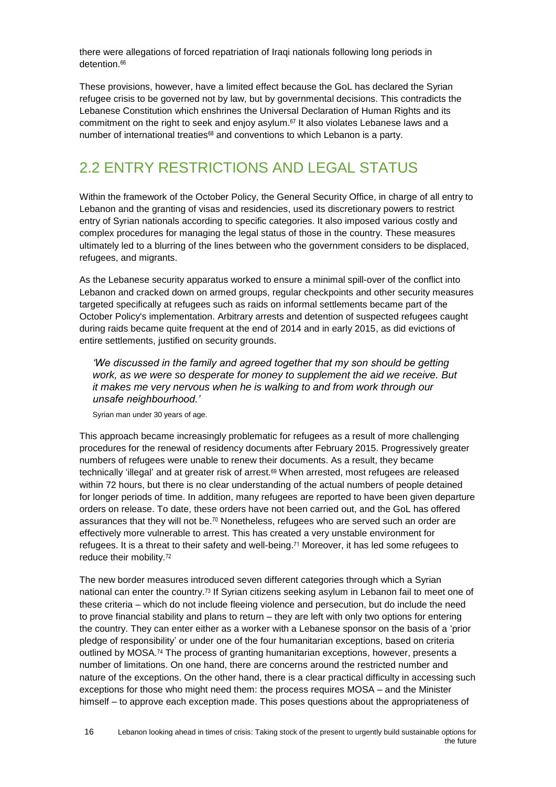there were allegations of forced repatriation of Iraqi nationals following long periods in detention 66

These provisions, however, have a limited effect because the GoL has declared the Syrian refugee crisis to be governed not by law, but by governmental decisions. This contradicts the Lebanese Constitution which enshrines the Universal Declaration of Human Rights and its commitment on the right to seek and enjoy asylum. $67$  It also violates Lebanese laws and a number of international treaties<sup>68</sup> and conventions to which Lebanon is a party.

### <span id="page-15-0"></span>2.2 ENTRY RESTRICTIONS AND LEGAL STATUS

Within the framework of the October Policy, the General Security Office, in charge of all entry to Lebanon and the granting of visas and residencies, used its discretionary powers to restrict entry of Syrian nationals according to specific categories. It also imposed various costly and complex procedures for managing the legal status of those in the country. These measures ultimately led to a blurring of the lines between who the government considers to be displaced, refugees, and migrants.

As the Lebanese security apparatus worked to ensure a minimal spill-over of the conflict into Lebanon and cracked down on armed groups, regular checkpoints and other security measures targeted specifically at refugees such as raids on informal settlements became part of the October Policy's implementation. Arbitrary arrests and detention of suspected refugees caught during raids became quite frequent at the end of 2014 and in early 2015, as did evictions of entire settlements, justified on security grounds.

*'We discussed in the family and agreed together that my son should be getting work, as we were so desperate for money to supplement the aid we receive. But it makes me very nervous when he is walking to and from work through our unsafe neighbourhood.'* 

Syrian man under 30 years of age.

This approach became increasingly problematic for refugees as a result of more challenging procedures for the renewal of residency documents after February 2015. Progressively greater numbers of refugees were unable to renew their documents. As a result, they became technically 'illegal' and at greater risk of arrest.<sup>69</sup> When arrested, most refugees are released within 72 hours, but there is no clear understanding of the actual numbers of people detained for longer periods of time. In addition, many refugees are reported to have been given departure orders on release. To date, these orders have not been carried out, and the GoL has offered assurances that they will not be.<sup>70</sup> Nonetheless, refugees who are served such an order are effectively more vulnerable to arrest. This has created a very unstable environment for refugees. It is a threat to their safety and well-being. <sup>71</sup> Moreover, it has led some refugees to reduce their mobility.<sup>72</sup>

The new border measures introduced seven different categories through which a Syrian national can enter the country.<sup>73</sup> If Syrian citizens seeking asylum in Lebanon fail to meet one of these criteria – which do not include fleeing violence and persecution, but do include the need to prove financial stability and plans to return – they are left with only two options for entering the country. They can enter either as a worker with a Lebanese sponsor on the basis of a 'prior pledge of responsibility' or under one of the four humanitarian exceptions, based on criteria outlined by MOSA.<sup>74</sup> The process of granting humanitarian exceptions, however, presents a number of limitations. On one hand, there are concerns around the restricted number and nature of the exceptions. On the other hand, there is a clear practical difficulty in accessing such exceptions for those who might need them: the process requires MOSA – and the Minister himself – to approve each exception made. This poses questions about the appropriateness of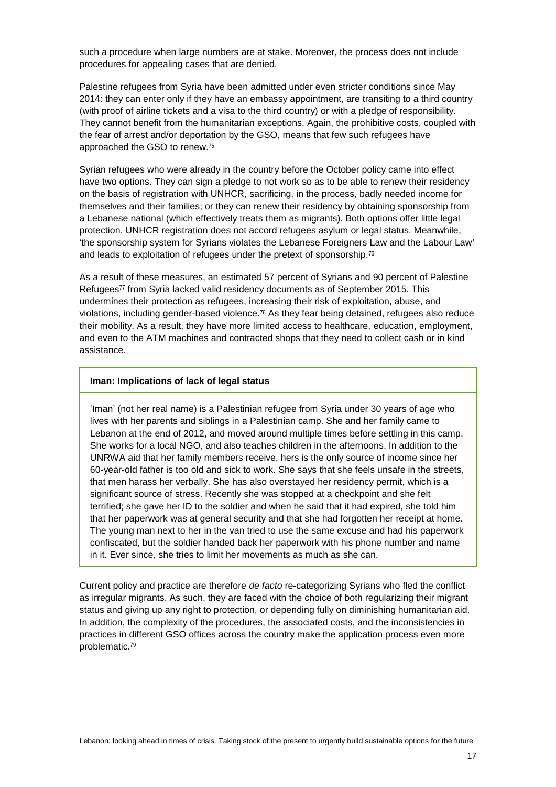such a procedure when large numbers are at stake. Moreover, the process does not include procedures for appealing cases that are denied.

Palestine refugees from Syria have been admitted under even stricter conditions since May 2014: they can enter only if they have an embassy appointment, are transiting to a third country (with proof of airline tickets and a visa to the third country) or with a pledge of responsibility. They cannot benefit from the humanitarian exceptions. Again, the prohibitive costs, coupled with the fear of arrest and/or deportation by the GSO, means that few such refugees have approached the GSO to renew.<sup>75</sup>

Syrian refugees who were already in the country before the October policy came into effect have two options. They can sign a pledge to not work so as to be able to renew their residency on the basis of registration with UNHCR, sacrificing, in the process, badly needed income for themselves and their families; or they can renew their residency by obtaining sponsorship from a Lebanese national (which effectively treats them as migrants). Both options offer little legal protection. UNHCR registration does not accord refugees asylum or legal status. Meanwhile, 'the sponsorship system for Syrians violates the Lebanese Foreigners Law and the Labour Law' and leads to exploitation of refugees under the pretext of sponsorship.<sup>76</sup>

As a result of these measures, an estimated 57 percent of Syrians and 90 percent of Palestine Refugees<sup>77</sup> from Syria lacked valid residency documents as of September 2015. This undermines their protection as refugees, increasing their risk of exploitation, abuse, and violations, including gender-based violence.<sup>78</sup> As they fear being detained, refugees also reduce their mobility. As a result, they have more limited access to healthcare, education, employment, and even to the ATM machines and contracted shops that they need to collect cash or in kind assistance.

#### **Iman: Implications of lack of legal status**

'Iman' (not her real name) is a Palestinian refugee from Syria under 30 years of age who lives with her parents and siblings in a Palestinian camp. She and her family came to Lebanon at the end of 2012, and moved around multiple times before settling in this camp. She works for a local NGO, and also teaches children in the afternoons. In addition to the UNRWA aid that her family members receive, hers is the only source of income since her 60-year-old father is too old and sick to work. She says that she feels unsafe in the streets, that men harass her verbally. She has also overstayed her residency permit, which is a significant source of stress. Recently she was stopped at a checkpoint and she felt terrified; she gave her ID to the soldier and when he said that it had expired, she told him that her paperwork was at general security and that she had forgotten her receipt at home. The young man next to her in the van tried to use the same excuse and had his paperwork confiscated, but the soldier handed back her paperwork with his phone number and name in it. Ever since, she tries to limit her movements as much as she can.

Current policy and practice are therefore *de facto* re-categorizing Syrians who fled the conflict as irregular migrants. As such, they are faced with the choice of both regularizing their migrant status and giving up any right to protection, or depending fully on diminishing humanitarian aid. In addition, the complexity of the procedures, the associated costs, and the inconsistencies in practices in different GSO offices across the country make the application process even more problematic.79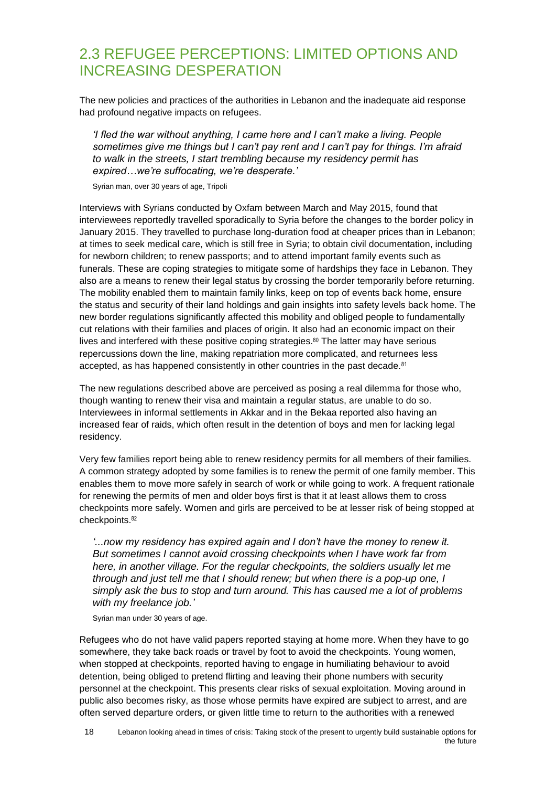### <span id="page-17-0"></span>2.3 REFUGEE PERCEPTIONS: LIMITED OPTIONS AND INCREASING DESPERATION

The new policies and practices of the authorities in Lebanon and the inadequate aid response had profound negative impacts on refugees.

*'I fled the war without anything, I came here and I can't make a living. People sometimes give me things but I can't pay rent and I can't pay for things. I'm afraid to walk in the streets, I start trembling because my residency permit has expired…we're suffocating, we're desperate.'*

Syrian man, over 30 years of age, Tripoli

Interviews with Syrians conducted by Oxfam between March and May 2015, found that interviewees reportedly travelled sporadically to Syria before the changes to the border policy in January 2015. They travelled to purchase long-duration food at cheaper prices than in Lebanon; at times to seek medical care, which is still free in Syria; to obtain civil documentation, including for newborn children; to renew passports; and to attend important family events such as funerals. These are coping strategies to mitigate some of hardships they face in Lebanon. They also are a means to renew their legal status by crossing the border temporarily before returning. The mobility enabled them to maintain family links, keep on top of events back home, ensure the status and security of their land holdings and gain insights into safety levels back home. The new border regulations significantly affected this mobility and obliged people to fundamentally cut relations with their families and places of origin. It also had an economic impact on their lives and interfered with these positive coping strategies.<sup>80</sup> The latter may have serious repercussions down the line, making repatriation more complicated, and returnees less accepted, as has happened consistently in other countries in the past decade.<sup>81</sup>

The new regulations described above are perceived as posing a real dilemma for those who, though wanting to renew their visa and maintain a regular status, are unable to do so. Interviewees in informal settlements in Akkar and in the Bekaa reported also having an increased fear of raids, which often result in the detention of boys and men for lacking legal residency.

Very few families report being able to renew residency permits for all members of their families. A common strategy adopted by some families is to renew the permit of one family member. This enables them to move more safely in search of work or while going to work. A frequent rationale for renewing the permits of men and older boys first is that it at least allows them to cross checkpoints more safely. Women and girls are perceived to be at lesser risk of being stopped at checkpoints.<sup>82</sup>

*'...now my residency has expired again and I don't have the money to renew it. But sometimes I cannot avoid crossing checkpoints when I have work far from here, in another village. For the regular checkpoints, the soldiers usually let me through and just tell me that I should renew; but when there is a pop-up one, I simply ask the bus to stop and turn around. This has caused me a lot of problems with my freelance job.'*

Syrian man under 30 years of age.

Refugees who do not have valid papers reported staying at home more. When they have to go somewhere, they take back roads or travel by foot to avoid the checkpoints. Young women, when stopped at checkpoints, reported having to engage in humiliating behaviour to avoid detention, being obliged to pretend flirting and leaving their phone numbers with security personnel at the checkpoint. This presents clear risks of sexual exploitation. Moving around in public also becomes risky, as those whose permits have expired are subject to arrest, and are often served departure orders, or given little time to return to the authorities with a renewed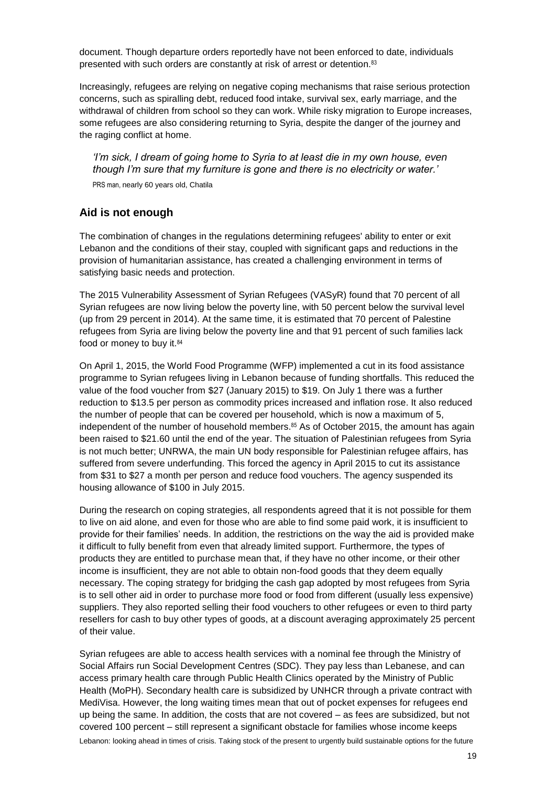document. Though departure orders reportedly have not been enforced to date, individuals presented with such orders are constantly at risk of arrest or detention.<sup>83</sup>

Increasingly, refugees are relying on negative coping mechanisms that raise serious protection concerns, such as spiralling debt, reduced food intake, survival sex, early marriage, and the withdrawal of children from school so they can work. While risky migration to Europe increases, some refugees are also considering returning to Syria, despite the danger of the journey and the raging conflict at home.

*'I'm sick, I dream of going home to Syria to at least die in my own house, even though I'm sure that my furniture is gone and there is no electricity or water.'* PRS man, nearly 60 years old, Chatila

#### **Aid is not enough**

The combination of changes in the regulations determining refugees' ability to enter or exit Lebanon and the conditions of their stay, coupled with significant gaps and reductions in the provision of humanitarian assistance, has created a challenging environment in terms of satisfying basic needs and protection.

The 2015 Vulnerability Assessment of Syrian Refugees (VASyR) found that 70 percent of all Syrian refugees are now living below the poverty line, with 50 percent below the survival level (up from 29 percent in 2014). At the same time, it is estimated that 70 percent of Palestine refugees from Syria are living below the poverty line and that 91 percent of such families lack food or money to buy it. 84

On April 1, 2015, the World Food Programme (WFP) implemented a cut in its food assistance programme to Syrian refugees living in Lebanon because of funding shortfalls. This reduced the value of the food voucher from \$27 (January 2015) to \$19. On July 1 there was a further reduction to \$13.5 per person as commodity prices increased and inflation rose. It also reduced the number of people that can be covered per household, which is now a maximum of 5, independent of the number of household members.<sup>85</sup> As of October 2015, the amount has again been raised to \$21.60 until the end of the year. The situation of Palestinian refugees from Syria is not much better; UNRWA, the main UN body responsible for Palestinian refugee affairs, has suffered from severe underfunding. This forced the agency in April 2015 to cut its assistance from \$31 to \$27 a month per person and reduce food vouchers. The agency suspended its housing allowance of \$100 in July 2015.

During the research on coping strategies, all respondents agreed that it is not possible for them to live on aid alone, and even for those who are able to find some paid work, it is insufficient to provide for their families' needs. In addition, the restrictions on the way the aid is provided make it difficult to fully benefit from even that already limited support. Furthermore, the types of products they are entitled to purchase mean that, if they have no other income, or their other income is insufficient, they are not able to obtain non-food goods that they deem equally necessary. The coping strategy for bridging the cash gap adopted by most refugees from Syria is to sell other aid in order to purchase more food or food from different (usually less expensive) suppliers. They also reported selling their food vouchers to other refugees or even to third party resellers for cash to buy other types of goods, at a discount averaging approximately 25 percent of their value.

Lebanon: looking ahead in times of crisis. Taking stock of the present to urgently build sustainable options for the future Syrian refugees are able to access health services with a nominal fee through the Ministry of Social Affairs run Social Development Centres (SDC). They pay less than Lebanese, and can access primary health care through Public Health Clinics operated by the Ministry of Public Health (MoPH). Secondary health care is subsidized by UNHCR through a private contract with MediVisa. However, the long waiting times mean that out of pocket expenses for refugees end up being the same. In addition, the costs that are not covered – as fees are subsidized, but not covered 100 percent – still represent a significant obstacle for families whose income keeps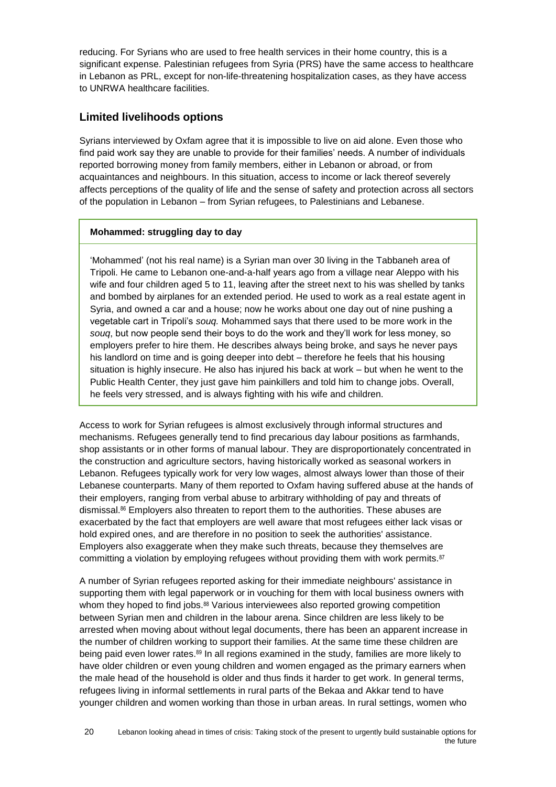reducing. For Syrians who are used to free health services in their home country, this is a significant expense. Palestinian refugees from Syria (PRS) have the same access to healthcare in Lebanon as PRL, except for non-life-threatening hospitalization cases, as they have access to UNRWA healthcare facilities.

#### **Limited livelihoods options**

Syrians interviewed by Oxfam agree that it is impossible to live on aid alone. Even those who find paid work say they are unable to provide for their families' needs. A number of individuals reported borrowing money from family members, either in Lebanon or abroad, or from acquaintances and neighbours. In this situation, access to income or lack thereof severely affects perceptions of the quality of life and the sense of safety and protection across all sectors of the population in Lebanon – from Syrian refugees, to Palestinians and Lebanese.

#### **Mohammed: struggling day to day**

'Mohammed' (not his real name) is a Syrian man over 30 living in the Tabbaneh area of Tripoli. He came to Lebanon one-and-a-half years ago from a village near Aleppo with his wife and four children aged 5 to 11, leaving after the street next to his was shelled by tanks and bombed by airplanes for an extended period. He used to work as a real estate agent in Syria, and owned a car and a house; now he works about one day out of nine pushing a vegetable cart in Tripoli's *souq.* Mohammed says that there used to be more work in the *souq*, but now people send their boys to do the work and they'll work for less money, so employers prefer to hire them. He describes always being broke, and says he never pays his landlord on time and is going deeper into debt – therefore he feels that his housing situation is highly insecure. He also has injured his back at work – but when he went to the Public Health Center, they just gave him painkillers and told him to change jobs. Overall, he feels very stressed, and is always fighting with his wife and children.

Access to work for Syrian refugees is almost exclusively through informal structures and mechanisms. Refugees generally tend to find precarious day labour positions as farmhands, shop assistants or in other forms of manual labour. They are disproportionately concentrated in the construction and agriculture sectors, having historically worked as seasonal workers in Lebanon. Refugees typically work for very low wages, almost always lower than those of their Lebanese counterparts. Many of them reported to Oxfam having suffered abuse at the hands of their employers, ranging from verbal abuse to arbitrary withholding of pay and threats of dismissal. <sup>86</sup> Employers also threaten to report them to the authorities. These abuses are exacerbated by the fact that employers are well aware that most refugees either lack visas or hold expired ones, and are therefore in no position to seek the authorities' assistance. Employers also exaggerate when they make such threats, because they themselves are committing a violation by employing refugees without providing them with work permits.<sup>87</sup>

A number of Syrian refugees reported asking for their immediate neighbours' assistance in supporting them with legal paperwork or in vouching for them with local business owners with whom they hoped to find jobs.<sup>88</sup> Various interviewees also reported growing competition between Syrian men and children in the labour arena. Since children are less likely to be arrested when moving about without legal documents, there has been an apparent increase in the number of children working to support their families. At the same time these children are being paid even lower rates.<sup>89</sup> In all regions examined in the study, families are more likely to have older children or even young children and women engaged as the primary earners when the male head of the household is older and thus finds it harder to get work. In general terms, refugees living in informal settlements in rural parts of the Bekaa and Akkar tend to have younger children and women working than those in urban areas. In rural settings, women who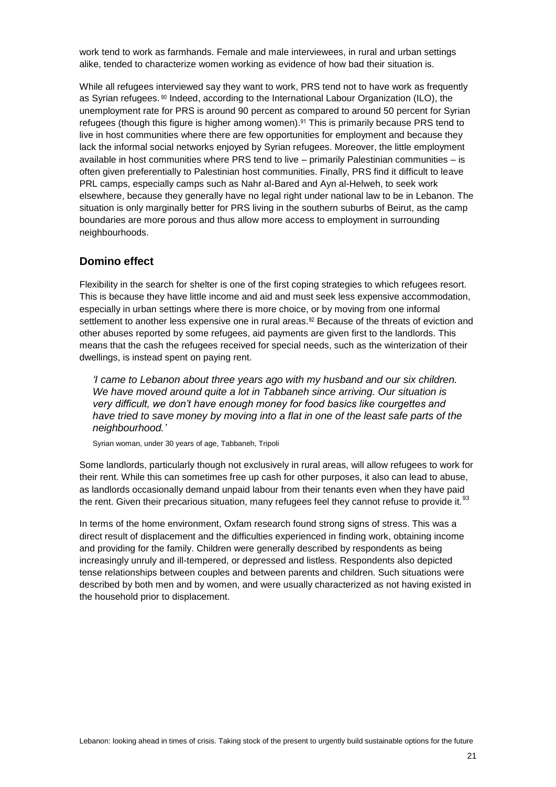work tend to work as farmhands. Female and male interviewees, in rural and urban settings alike, tended to characterize women working as evidence of how bad their situation is.

While all refugees interviewed say they want to work, PRS tend not to have work as frequently as Syrian refugees. <sup>90</sup> Indeed, according to the International Labour Organization (ILO), the unemployment rate for PRS is around 90 percent as compared to around 50 percent for Syrian refugees (though this figure is higher among women).<sup>91</sup> This is primarily because PRS tend to live in host communities where there are few opportunities for employment and because they lack the informal social networks enjoyed by Syrian refugees. Moreover, the little employment available in host communities where PRS tend to live – primarily Palestinian communities – is often given preferentially to Palestinian host communities. Finally, PRS find it difficult to leave PRL camps, especially camps such as Nahr al-Bared and Ayn al-Helweh, to seek work elsewhere, because they generally have no legal right under national law to be in Lebanon. The situation is only marginally better for PRS living in the southern suburbs of Beirut, as the camp boundaries are more porous and thus allow more access to employment in surrounding neighbourhoods.

#### **Domino effect**

Flexibility in the search for shelter is one of the first coping strategies to which refugees resort. This is because they have little income and aid and must seek less expensive accommodation, especially in urban settings where there is more choice, or by moving from one informal settlement to another less expensive one in rural areas.<sup>92</sup> Because of the threats of eviction and other abuses reported by some refugees, aid payments are given first to the landlords. This means that the cash the refugees received for special needs, such as the winterization of their dwellings, is instead spent on paying rent.

*'I came to Lebanon about three years ago with my husband and our six children. We have moved around quite a lot in Tabbaneh since arriving. Our situation is very difficult, we don't have enough money for food basics like courgettes and have tried to save money by moving into a flat in one of the least safe parts of the neighbourhood.'*

Syrian woman, under 30 years of age, Tabbaneh, Tripoli

Some landlords, particularly though not exclusively in rural areas, will allow refugees to work for their rent. While this can sometimes free up cash for other purposes, it also can lead to abuse, as landlords occasionally demand unpaid labour from their tenants even when they have paid the rent. Given their precarious situation, many refugees feel they cannot refuse to provide it.<sup>93</sup>

In terms of the home environment, Oxfam research found strong signs of stress. This was a direct result of displacement and the difficulties experienced in finding work, obtaining income and providing for the family. Children were generally described by respondents as being increasingly unruly and ill-tempered, or depressed and listless. Respondents also depicted tense relationships between couples and between parents and children. Such situations were described by both men and by women, and were usually characterized as not having existed in the household prior to displacement.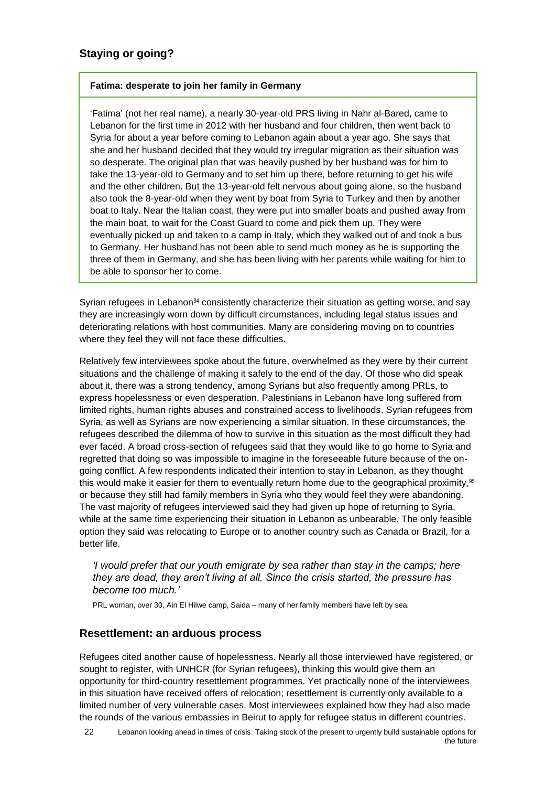#### **Fatima: desperate to join her family in Germany**

'Fatima' (not her real name), a nearly 30-year-old PRS living in Nahr al-Bared, came to Lebanon for the first time in 2012 with her husband and four children, then went back to Syria for about a year before coming to Lebanon again about a year ago. She says that she and her husband decided that they would try irregular migration as their situation was so desperate. The original plan that was heavily pushed by her husband was for him to take the 13-year-old to Germany and to set him up there, before returning to get his wife and the other children. But the 13-year-old felt nervous about going alone, so the husband also took the 8-year-old when they went by boat from Syria to Turkey and then by another boat to Italy. Near the Italian coast, they were put into smaller boats and pushed away from the main boat, to wait for the Coast Guard to come and pick them up. They were eventually picked up and taken to a camp in Italy, which they walked out of and took a bus to Germany. Her husband has not been able to send much money as he is supporting the three of them in Germany, and she has been living with her parents while waiting for him to be able to sponsor her to come.

Syrian refugees in Lebanon<sup>94</sup> consistently characterize their situation as getting worse, and say they are increasingly worn down by difficult circumstances, including legal status issues and deteriorating relations with host communities. Many are considering moving on to countries where they feel they will not face these difficulties.

Relatively few interviewees spoke about the future, overwhelmed as they were by their current situations and the challenge of making it safely to the end of the day. Of those who did speak about it, there was a strong tendency, among Syrians but also frequently among PRLs, to express hopelessness or even desperation. Palestinians in Lebanon have long suffered from limited rights, human rights abuses and constrained access to livelihoods. Syrian refugees from Syria, as well as Syrians are now experiencing a similar situation. In these circumstances, the refugees described the dilemma of how to survive in this situation as the most difficult they had ever faced. A broad cross-section of refugees said that they would like to go home to Syria and regretted that doing so was impossible to imagine in the foreseeable future because of the ongoing conflict. A few respondents indicated their intention to stay in Lebanon, as they thought this would make it easier for them to eventually return home due to the geographical proximity,  $95$ or because they still had family members in Syria who they would feel they were abandoning. The vast majority of refugees interviewed said they had given up hope of returning to Syria, while at the same time experiencing their situation in Lebanon as unbearable. The only feasible option they said was relocating to Europe or to another country such as Canada or Brazil, for a better life.

#### *'I would prefer that our youth emigrate by sea rather than stay in the camps; here they are dead, they aren't living at all. Since the crisis started, the pressure has become too much.'*

PRL woman, over 30, Ain El Hilwe camp, Saida – many of her family members have left by sea.

#### **Resettlement: an arduous process**

Refugees cited another cause of hopelessness. Nearly all those interviewed have registered, or sought to register, with UNHCR (for Syrian refugees), thinking this would give them an opportunity for third-country resettlement programmes. Yet practically none of the interviewees in this situation have received offers of relocation; resettlement is currently only available to a limited number of very vulnerable cases. Most interviewees explained how they had also made the rounds of the various embassies in Beirut to apply for refugee status in different countries.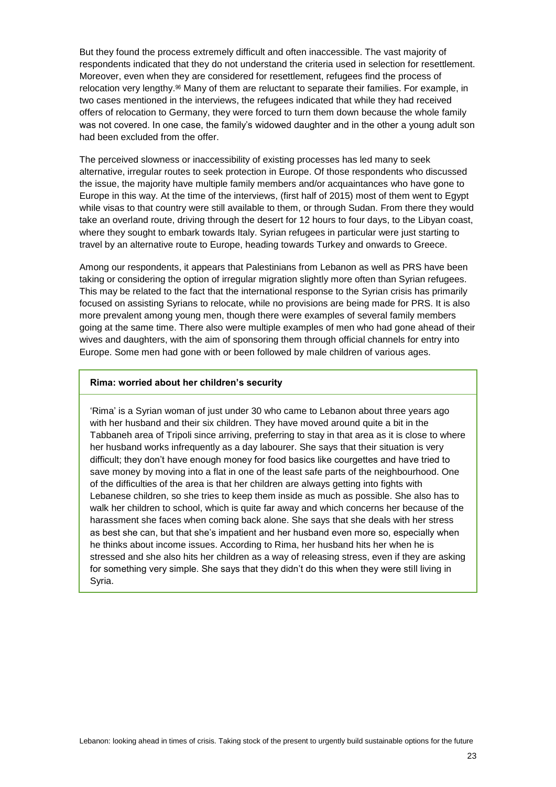But they found the process extremely difficult and often inaccessible. The vast majority of respondents indicated that they do not understand the criteria used in selection for resettlement. Moreover, even when they are considered for resettlement, refugees find the process of relocation very lengthy.<sup>96</sup> Many of them are reluctant to separate their families. For example, in two cases mentioned in the interviews, the refugees indicated that while they had received offers of relocation to Germany, they were forced to turn them down because the whole family was not covered. In one case, the family's widowed daughter and in the other a young adult son had been excluded from the offer.

The perceived slowness or inaccessibility of existing processes has led many to seek alternative, irregular routes to seek protection in Europe. Of those respondents who discussed the issue, the majority have multiple family members and/or acquaintances who have gone to Europe in this way. At the time of the interviews, (first half of 2015) most of them went to Egypt while visas to that country were still available to them, or through Sudan. From there they would take an overland route, driving through the desert for 12 hours to four days, to the Libyan coast, where they sought to embark towards Italy. Syrian refugees in particular were just starting to travel by an alternative route to Europe, heading towards Turkey and onwards to Greece.

Among our respondents, it appears that Palestinians from Lebanon as well as PRS have been taking or considering the option of irregular migration slightly more often than Syrian refugees. This may be related to the fact that the international response to the Syrian crisis has primarily focused on assisting Syrians to relocate, while no provisions are being made for PRS. It is also more prevalent among young men, though there were examples of several family members going at the same time. There also were multiple examples of men who had gone ahead of their wives and daughters, with the aim of sponsoring them through official channels for entry into Europe. Some men had gone with or been followed by male children of various ages.

#### **Rima: worried about her children's security**

'Rima' is a Syrian woman of just under 30 who came to Lebanon about three years ago with her husband and their six children. They have moved around quite a bit in the Tabbaneh area of Tripoli since arriving, preferring to stay in that area as it is close to where her husband works infrequently as a day labourer. She says that their situation is very difficult; they don't have enough money for food basics like courgettes and have tried to save money by moving into a flat in one of the least safe parts of the neighbourhood. One of the difficulties of the area is that her children are always getting into fights with Lebanese children, so she tries to keep them inside as much as possible. She also has to walk her children to school, which is quite far away and which concerns her because of the harassment she faces when coming back alone. She says that she deals with her stress as best she can, but that she's impatient and her husband even more so, especially when he thinks about income issues. According to Rima, her husband hits her when he is stressed and she also hits her children as a way of releasing stress, even if they are asking for something very simple. She says that they didn't do this when they were still living in Syria.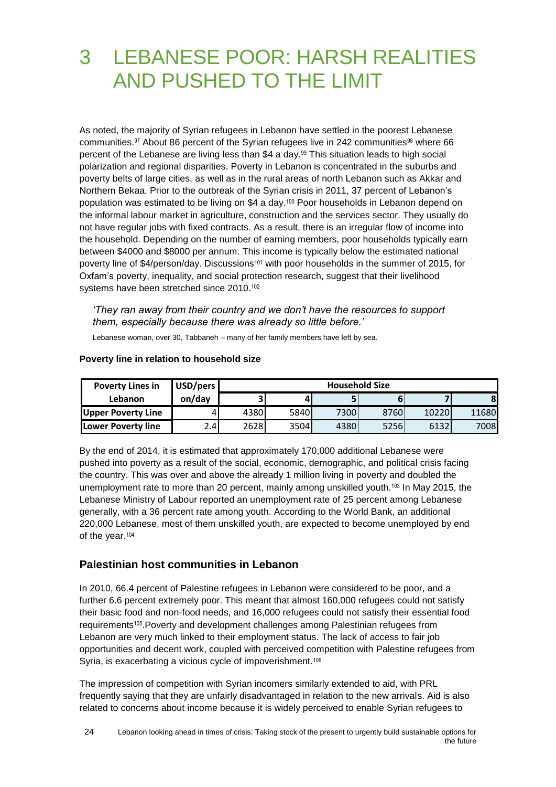# <span id="page-23-0"></span>3 LEBANESE POOR: HARSH REALITIES AND PUSHED TO THE LIMIT

As noted, the majority of Syrian refugees in Lebanon have settled in the poorest Lebanese communities.<sup>97</sup> About 86 percent of the Syrian refugees live in 242 communities<sup>98</sup> where 66 percent of the Lebanese are living less than \$4 a day.<sup>99</sup> This situation leads to high social polarization and regional disparities. Poverty in Lebanon is concentrated in the suburbs and poverty belts of large cities, as well as in the rural areas of north Lebanon such as Akkar and Northern Bekaa. Prior to the outbreak of the Syrian crisis in 2011, 37 percent of Lebanon's population was estimated to be living on \$4 a day.<sup>100</sup> Poor households in Lebanon depend on the informal labour market in agriculture, construction and the services sector. They usually do not have regular jobs with fixed contracts. As a result, there is an irregular flow of income into the household. Depending on the number of earning members, poor households typically earn between \$4000 and \$8000 per annum. This income is typically below the estimated national poverty line of \$4/person/day. Discussions<sup>101</sup> with poor households in the summer of 2015, for Oxfam's poverty, inequality, and social protection research, suggest that their livelihood systems have been stretched since 2010.<sup>102</sup>

*'They ran away from their country and we don't have the resources to support them, especially because there was already so little before.'*

Lebanese woman, over 30, Tabbaneh – many of her family members have left by sea.

| <b>Poverty Lines in</b>   | USD/pers | <b>Household Size</b> |      |      |      |       |       |
|---------------------------|----------|-----------------------|------|------|------|-------|-------|
| <b>Lebanon</b>            | on/day   | 3 <sub>1</sub>        |      |      |      |       | 8     |
| <b>Upper Poverty Line</b> |          | 4380                  | 5840 | 7300 | 8760 | 10220 | 11680 |
| <b>Lower Poverty line</b> | 2.4I     | 2628                  | 3504 | 4380 | 5256 | 6132  | 70081 |

#### **Poverty line in relation to household size**

By the end of 2014, it is estimated that approximately 170,000 additional Lebanese were pushed into poverty as a result of the social, economic, demographic, and political crisis facing the country. This was over and above the already 1 million living in poverty and doubled the unemployment rate to more than 20 percent, mainly among unskilled youth.<sup>103</sup> In May 2015, the Lebanese Ministry of Labour reported an unemployment rate of 25 percent among Lebanese generally, with a 36 percent rate among youth. According to the World Bank, an additional 220,000 Lebanese, most of them unskilled youth, are expected to become unemployed by end of the year.<sup>104</sup>

#### **Palestinian host communities in Lebanon**

In 2010, 66.4 percent of Palestine refugees in Lebanon were considered to be poor, and a further 6.6 percent extremely poor. This meant that almost 160,000 refugees could not satisfy their basic food and non-food needs, and 16,000 refugees could not satisfy their essential food requirements105.Poverty and development challenges among Palestinian refugees from Lebanon are very much linked to their employment status. The lack of access to fair job opportunities and decent work, coupled with perceived competition with Palestine refugees from Syria, is exacerbating a vicious cycle of impoverishment.<sup>106</sup>

The impression of competition with Syrian incomers similarly extended to aid, with PRL frequently saying that they are unfairly disadvantaged in relation to the new arrivals. Aid is also related to concerns about income because it is widely perceived to enable Syrian refugees to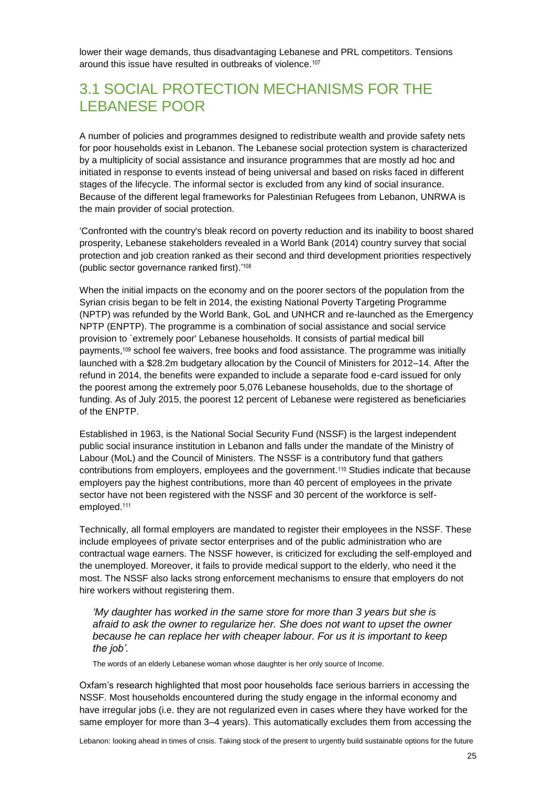lower their wage demands, thus disadvantaging Lebanese and PRL competitors. Tensions around this issue have resulted in outbreaks of violence.<sup>107</sup>

### <span id="page-24-0"></span>3.1 SOCIAL PROTECTION MECHANISMS FOR THE LEBANESE POOR

A number of policies and programmes designed to redistribute wealth and provide safety nets for poor households exist in Lebanon. The Lebanese social protection system is characterized by a multiplicity of social assistance and insurance programmes that are mostly ad hoc and initiated in response to events instead of being universal and based on risks faced in different stages of the lifecycle. The informal sector is excluded from any kind of social insurance. Because of the different legal frameworks for Palestinian Refugees from Lebanon, UNRWA is the main provider of social protection.

'Confronted with the country's bleak record on poverty reduction and its inability to boost shared prosperity, Lebanese stakeholders revealed in a World Bank (2014) country survey that social protection and job creation ranked as their second and third development priorities respectively (public sector governance ranked first).' 108

When the initial impacts on the economy and on the poorer sectors of the population from the Syrian crisis began to be felt in 2014, the existing National Poverty Targeting Programme (NPTP) was refunded by the World Bank, GoL and UNHCR and re-launched as the Emergency NPTP (ENPTP). The programme is a combination of social assistance and social service provision to `extremely poor' Lebanese households. It consists of partial medical bill payments, <sup>109</sup> school fee waivers, free books and food assistance. The programme was initially launched with a \$28.2m budgetary allocation by the Council of Ministers for 2012–14. After the refund in 2014, the benefits were expanded to include a separate food e-card issued for only the poorest among the extremely poor 5,076 Lebanese households, due to the shortage of funding. As of July 2015, the poorest 12 percent of Lebanese were registered as beneficiaries of the ENPTP.

Established in 1963, is the National Social Security Fund (NSSF) is the largest independent public social insurance institution in Lebanon and falls under the mandate of the Ministry of Labour (MoL) and the Council of Ministers. The NSSF is a contributory fund that gathers contributions from employers, employees and the government.<sup>110</sup> Studies indicate that because employers pay the highest contributions, more than 40 percent of employees in the private sector have not been registered with the NSSF and 30 percent of the workforce is selfemployed.<sup>111</sup>

Technically, all formal employers are mandated to register their employees in the NSSF. These include employees of private sector enterprises and of the public administration who are contractual wage earners. The NSSF however, is criticized for excluding the self-employed and the unemployed. Moreover, it fails to provide medical support to the elderly, who need it the most. The NSSF also lacks strong enforcement mechanisms to ensure that employers do not hire workers without registering them.

*'My daughter has worked in the same store for more than 3 years but she is afraid to ask the owner to regularize her. She does not want to upset the owner because he can replace her with cheaper labour. For us it is important to keep the job'.* 

The words of an elderly Lebanese woman whose daughter is her only source of Income.

Oxfam's research highlighted that most poor households face serious barriers in accessing the NSSF. Most households encountered during the study engage in the informal economy and have irregular jobs (i.e. they are not regularized even in cases where they have worked for the same employer for more than 3–4 years). This automatically excludes them from accessing the

Lebanon: looking ahead in times of crisis. Taking stock of the present to urgently build sustainable options for the future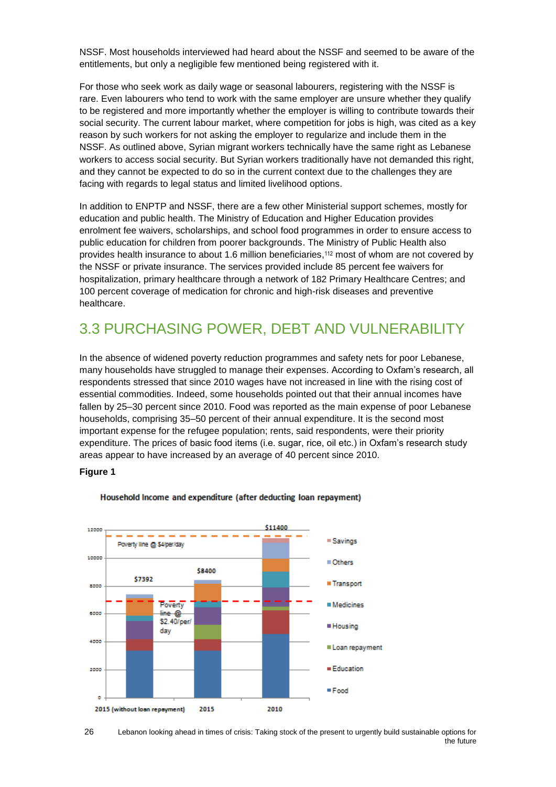NSSF. Most households interviewed had heard about the NSSF and seemed to be aware of the entitlements, but only a negligible few mentioned being registered with it.

For those who seek work as daily wage or seasonal labourers, registering with the NSSF is rare. Even labourers who tend to work with the same employer are unsure whether they qualify to be registered and more importantly whether the employer is willing to contribute towards their social security. The current labour market, where competition for jobs is high, was cited as a key reason by such workers for not asking the employer to regularize and include them in the NSSF. As outlined above, Syrian migrant workers technically have the same right as Lebanese workers to access social security. But Syrian workers traditionally have not demanded this right, and they cannot be expected to do so in the current context due to the challenges they are facing with regards to legal status and limited livelihood options.

In addition to ENPTP and NSSF, there are a few other Ministerial support schemes, mostly for education and public health. The Ministry of Education and Higher Education provides enrolment fee waivers, scholarships, and school food programmes in order to ensure access to public education for children from poorer backgrounds. The Ministry of Public Health also provides health insurance to about 1.6 million beneficiaries, <sup>112</sup> most of whom are not covered by the NSSF or private insurance. The services provided include 85 percent fee waivers for hospitalization, primary healthcare through a network of 182 Primary Healthcare Centres; and 100 percent coverage of medication for chronic and high-risk diseases and preventive healthcare.

### <span id="page-25-0"></span>3.3 PURCHASING POWER, DEBT AND VULNERABILITY

In the absence of widened poverty reduction programmes and safety nets for poor Lebanese, many households have struggled to manage their expenses. According to Oxfam's research, all respondents stressed that since 2010 wages have not increased in line with the rising cost of essential commodities. Indeed, some households pointed out that their annual incomes have fallen by 25–30 percent since 2010. Food was reported as the main expense of poor Lebanese households, comprising 35–50 percent of their annual expenditure. It is the second most important expense for the refugee population; rents, said respondents, were their priority expenditure. The prices of basic food items (i.e. sugar, rice, oil etc.) in Oxfam's research study areas appear to have increased by an average of 40 percent since 2010.

#### **Figure 1**



#### Household Income and expenditure (after deducting Ioan repayment)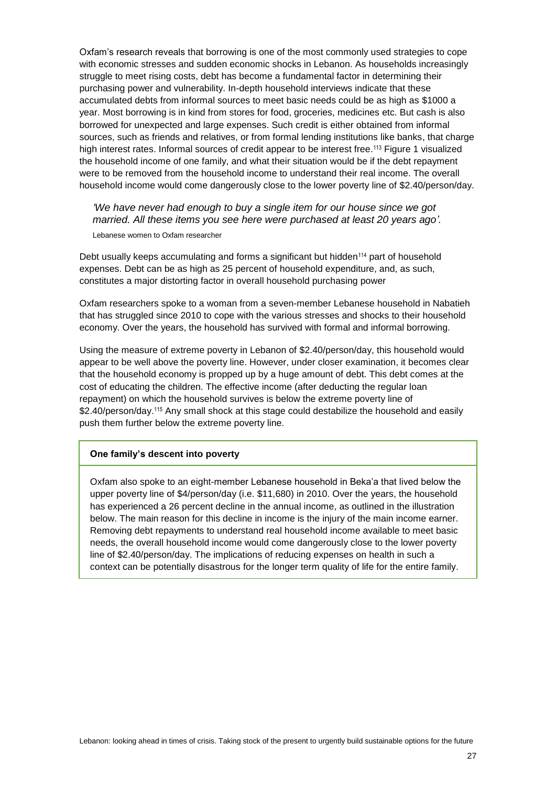Oxfam's research reveals that borrowing is one of the most commonly used strategies to cope with economic stresses and sudden economic shocks in Lebanon. As households increasingly struggle to meet rising costs, debt has become a fundamental factor in determining their purchasing power and vulnerability. In-depth household interviews indicate that these accumulated debts from informal sources to meet basic needs could be as high as \$1000 a year. Most borrowing is in kind from stores for food, groceries, medicines etc. But cash is also borrowed for unexpected and large expenses. Such credit is either obtained from informal sources, such as friends and relatives, or from formal lending institutions like banks, that charge high interest rates. Informal sources of credit appear to be interest free.<sup>113</sup> Figure 1 visualized the household income of one family, and what their situation would be if the debt repayment were to be removed from the household income to understand their real income. The overall household income would come dangerously close to the lower poverty line of \$2.40/person/day.

*'We have never had enough to buy a single item for our house since we got married. All these items you see here were purchased at least 20 years ago'.* Lebanese women to Oxfam researcher

Debt usually keeps accumulating and forms a significant but hidden<sup>114</sup> part of household expenses. Debt can be as high as 25 percent of household expenditure, and, as such, constitutes a major distorting factor in overall household purchasing power

Oxfam researchers spoke to a woman from a seven-member Lebanese household in Nabatieh that has struggled since 2010 to cope with the various stresses and shocks to their household economy. Over the years, the household has survived with formal and informal borrowing.

Using the measure of extreme poverty in Lebanon of \$2.40/person/day, this household would appear to be well above the poverty line. However, under closer examination, it becomes clear that the household economy is propped up by a huge amount of debt. This debt comes at the cost of educating the children. The effective income (after deducting the regular loan repayment) on which the household survives is below the extreme poverty line of \$2.40/person/day.<sup>115</sup> Any small shock at this stage could destabilize the household and easily push them further below the extreme poverty line.

#### **One family's descent into poverty**

Oxfam also spoke to an eight-member Lebanese household in Beka'a that lived below the upper poverty line of \$4/person/day (i.e. \$11,680) in 2010. Over the years, the household has experienced a 26 percent decline in the annual income, as outlined in the illustration below. The main reason for this decline in income is the injury of the main income earner. Removing debt repayments to understand real household income available to meet basic needs, the overall household income would come dangerously close to the lower poverty line of \$2.40/person/day. The implications of reducing expenses on health in such a context can be potentially disastrous for the longer term quality of life for the entire family.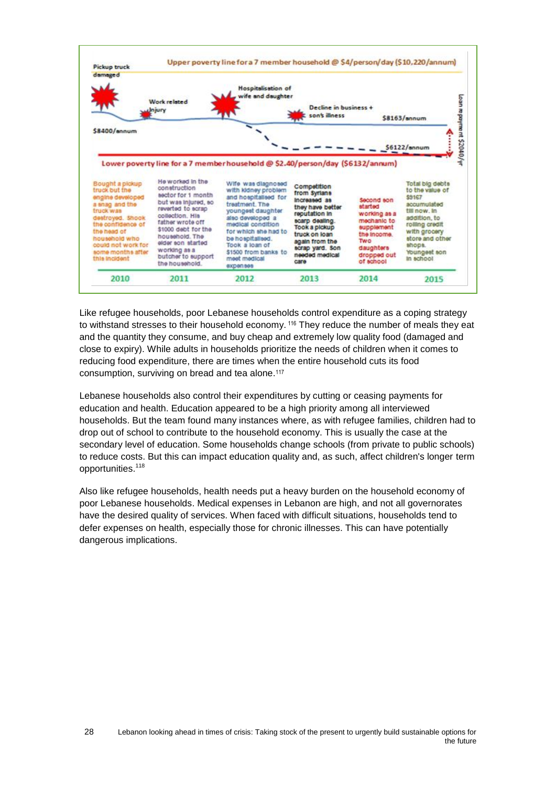

Like refugee households, poor Lebanese households control expenditure as a coping strategy to withstand stresses to their household economy. <sup>116</sup> They reduce the number of meals they eat and the quantity they consume, and buy cheap and extremely low quality food (damaged and close to expiry). While adults in households prioritize the needs of children when it comes to reducing food expenditure, there are times when the entire household cuts its food consumption, surviving on bread and tea alone.<sup>117</sup>

Lebanese households also control their expenditures by cutting or ceasing payments for education and health. Education appeared to be a high priority among all interviewed households. But the team found many instances where, as with refugee families, children had to drop out of school to contribute to the household economy. This is usually the case at the secondary level of education. Some households change schools (from private to public schools) to reduce costs. But this can impact education quality and, as such, affect children's longer term opportunities.<sup>118</sup>

Also like refugee households, health needs put a heavy burden on the household economy of poor Lebanese households. Medical expenses in Lebanon are high, and not all governorates have the desired quality of services. When faced with difficult situations, households tend to defer expenses on health, especially those for chronic illnesses. This can have potentially dangerous implications.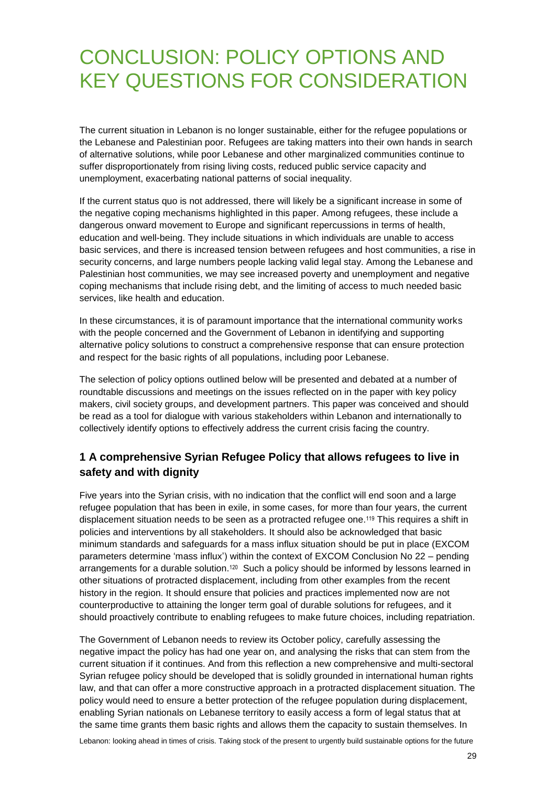## <span id="page-28-0"></span>CONCLUSION: POLICY OPTIONS AND KEY QUESTIONS FOR CONSIDERATION

The current situation in Lebanon is no longer sustainable, either for the refugee populations or the Lebanese and Palestinian poor. Refugees are taking matters into their own hands in search of alternative solutions, while poor Lebanese and other marginalized communities continue to suffer disproportionately from rising living costs, reduced public service capacity and unemployment, exacerbating national patterns of social inequality.

If the current status quo is not addressed, there will likely be a significant increase in some of the negative coping mechanisms highlighted in this paper. Among refugees, these include a dangerous onward movement to Europe and significant repercussions in terms of health, education and well-being. They include situations in which individuals are unable to access basic services, and there is increased tension between refugees and host communities, a rise in security concerns, and large numbers people lacking valid legal stay. Among the Lebanese and Palestinian host communities, we may see increased poverty and unemployment and negative coping mechanisms that include rising debt, and the limiting of access to much needed basic services, like health and education.

In these circumstances, it is of paramount importance that the international community works with the people concerned and the Government of Lebanon in identifying and supporting alternative policy solutions to construct a comprehensive response that can ensure protection and respect for the basic rights of all populations, including poor Lebanese.

The selection of policy options outlined below will be presented and debated at a number of roundtable discussions and meetings on the issues reflected on in the paper with key policy makers, civil society groups, and development partners. This paper was conceived and should be read as a tool for dialogue with various stakeholders within Lebanon and internationally to collectively identify options to effectively address the current crisis facing the country.

#### **1 A comprehensive Syrian Refugee Policy that allows refugees to live in safety and with dignity**

Five years into the Syrian crisis, with no indication that the conflict will end soon and a large refugee population that has been in exile, in some cases, for more than four years, the current displacement situation needs to be seen as a protracted refugee one.<sup>119</sup> This requires a shift in policies and interventions by all stakeholders. It should also be acknowledged that basic minimum standards and safeguards for a mass influx situation should be put in place (EXCOM parameters determine 'mass influx') within the context of EXCOM Conclusion No 22 – pending arrangements for a durable solution.<sup>120</sup> Such a policy should be informed by lessons learned in other situations of protracted displacement, including from other examples from the recent history in the region. It should ensure that policies and practices implemented now are not counterproductive to attaining the longer term goal of durable solutions for refugees, and it should proactively contribute to enabling refugees to make future choices, including repatriation.

The Government of Lebanon needs to review its October policy, carefully assessing the negative impact the policy has had one year on, and analysing the risks that can stem from the current situation if it continues. And from this reflection a new comprehensive and multi-sectoral Syrian refugee policy should be developed that is solidly grounded in international human rights law, and that can offer a more constructive approach in a protracted displacement situation. The policy would need to ensure a better protection of the refugee population during displacement, enabling Syrian nationals on Lebanese territory to easily access a form of legal status that at the same time grants them basic rights and allows them the capacity to sustain themselves. In

Lebanon: looking ahead in times of crisis. Taking stock of the present to urgently build sustainable options for the future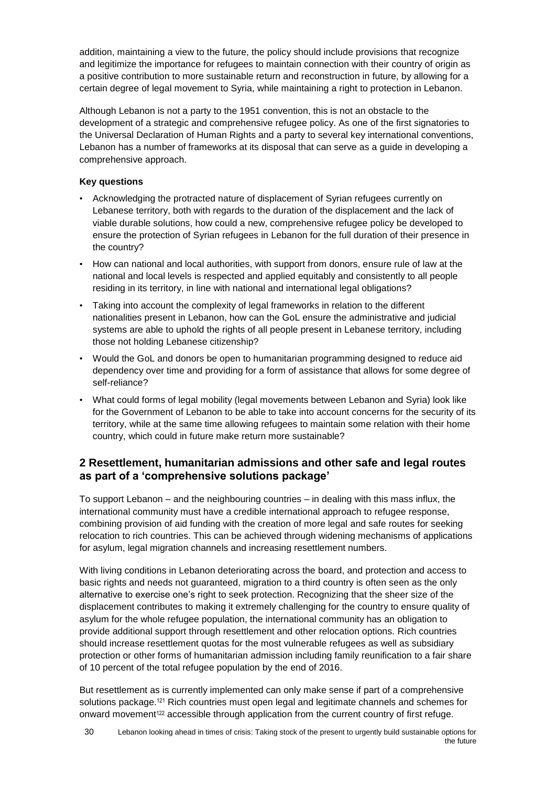addition, maintaining a view to the future, the policy should include provisions that recognize and legitimize the importance for refugees to maintain connection with their country of origin as a positive contribution to more sustainable return and reconstruction in future, by allowing for a certain degree of legal movement to Syria, while maintaining a right to protection in Lebanon.

Although Lebanon is not a party to the 1951 convention, this is not an obstacle to the development of a strategic and comprehensive refugee policy. As one of the first signatories to the Universal Declaration of Human Rights and a party to several key international conventions, Lebanon has a number of frameworks at its disposal that can serve as a guide in developing a comprehensive approach.

#### **Key questions**

- Acknowledging the protracted nature of displacement of Syrian refugees currently on Lebanese territory, both with regards to the duration of the displacement and the lack of viable durable solutions, how could a new, comprehensive refugee policy be developed to ensure the protection of Syrian refugees in Lebanon for the full duration of their presence in the country?
- How can national and local authorities, with support from donors, ensure rule of law at the national and local levels is respected and applied equitably and consistently to all people residing in its territory, in line with national and international legal obligations?
- Taking into account the complexity of legal frameworks in relation to the different nationalities present in Lebanon, how can the GoL ensure the administrative and judicial systems are able to uphold the rights of all people present in Lebanese territory, including those not holding Lebanese citizenship?
- Would the GoL and donors be open to humanitarian programming designed to reduce aid dependency over time and providing for a form of assistance that allows for some degree of self-reliance?
- What could forms of legal mobility (legal movements between Lebanon and Syria) look like for the Government of Lebanon to be able to take into account concerns for the security of its territory, while at the same time allowing refugees to maintain some relation with their home country, which could in future make return more sustainable?

#### **2 Resettlement, humanitarian admissions and other safe and legal routes as part of a 'comprehensive solutions package'**

To support Lebanon – and the neighbouring countries – in dealing with this mass influx, the international community must have a credible international approach to refugee response, combining provision of aid funding with the creation of more legal and safe routes for seeking relocation to rich countries. This can be achieved through widening mechanisms of applications for asylum, legal migration channels and increasing resettlement numbers.

With living conditions in Lebanon deteriorating across the board, and protection and access to basic rights and needs not guaranteed, migration to a third country is often seen as the only alternative to exercise one's right to seek protection. Recognizing that the sheer size of the displacement contributes to making it extremely challenging for the country to ensure quality of asylum for the whole refugee population, the international community has an obligation to provide additional support through resettlement and other relocation options. Rich countries should increase resettlement quotas for the most vulnerable refugees as well as subsidiary protection or other forms of humanitarian admission including family reunification to a fair share of 10 percent of the total refugee population by the end of 2016.

But resettlement as is currently implemented can only make sense if part of a comprehensive solutions package.<sup>121</sup> Rich countries must open legal and legitimate channels and schemes for onward movement<sup>122</sup> accessible through application from the current country of first refuge.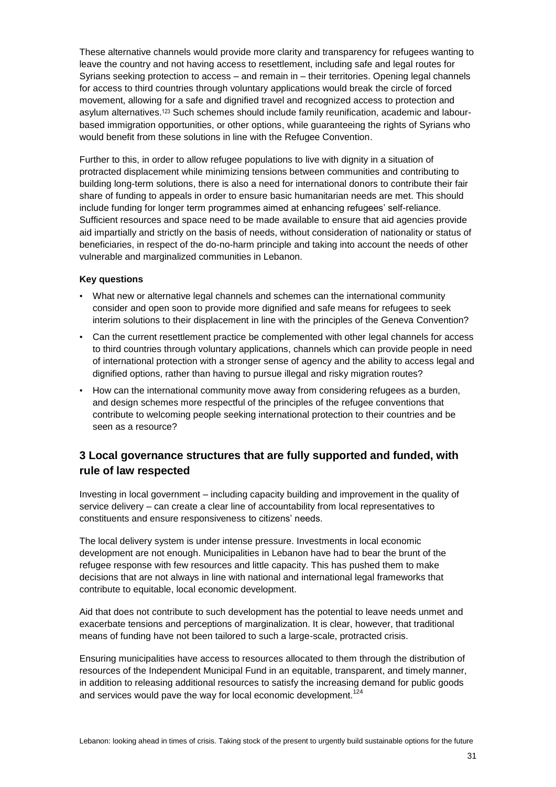These alternative channels would provide more clarity and transparency for refugees wanting to leave the country and not having access to resettlement, including safe and legal routes for Syrians seeking protection to access – and remain in – their territories. Opening legal channels for access to third countries through voluntary applications would break the circle of forced movement, allowing for a safe and dignified travel and recognized access to protection and asylum alternatives. <sup>123</sup> Such schemes should include family reunification, academic and labourbased immigration opportunities, or other options, while guaranteeing the rights of Syrians who would benefit from these solutions in line with the Refugee Convention.

Further to this, in order to allow refugee populations to live with dignity in a situation of protracted displacement while minimizing tensions between communities and contributing to building long-term solutions, there is also a need for international donors to contribute their fair share of funding to appeals in order to ensure basic humanitarian needs are met. This should include funding for longer term programmes aimed at enhancing refugees' self-reliance. Sufficient resources and space need to be made available to ensure that aid agencies provide aid impartially and strictly on the basis of needs, without consideration of nationality or status of beneficiaries, in respect of the do-no-harm principle and taking into account the needs of other vulnerable and marginalized communities in Lebanon.

#### **Key questions**

- What new or alternative legal channels and schemes can the international community consider and open soon to provide more dignified and safe means for refugees to seek interim solutions to their displacement in line with the principles of the Geneva Convention?
- Can the current resettlement practice be complemented with other legal channels for access to third countries through voluntary applications, channels which can provide people in need of international protection with a stronger sense of agency and the ability to access legal and dignified options, rather than having to pursue illegal and risky migration routes?
- How can the international community move away from considering refugees as a burden, and design schemes more respectful of the principles of the refugee conventions that contribute to welcoming people seeking international protection to their countries and be seen as a resource?

#### **3 Local governance structures that are fully supported and funded, with rule of law respected**

Investing in local government – including capacity building and improvement in the quality of service delivery – can create a clear line of accountability from local representatives to constituents and ensure responsiveness to citizens' needs.

The local delivery system is under intense pressure. Investments in local economic development are not enough. Municipalities in Lebanon have had to bear the brunt of the refugee response with few resources and little capacity. This has pushed them to make decisions that are not always in line with national and international legal frameworks that contribute to equitable, local economic development.

Aid that does not contribute to such development has the potential to leave needs unmet and exacerbate tensions and perceptions of marginalization. It is clear, however, that traditional means of funding have not been tailored to such a large-scale, protracted crisis.

Ensuring municipalities have access to resources allocated to them through the distribution of resources of the Independent Municipal Fund in an equitable, transparent, and timely manner, in addition to releasing additional resources to satisfy the increasing demand for public goods and services would pave the way for local economic development.<sup>124</sup>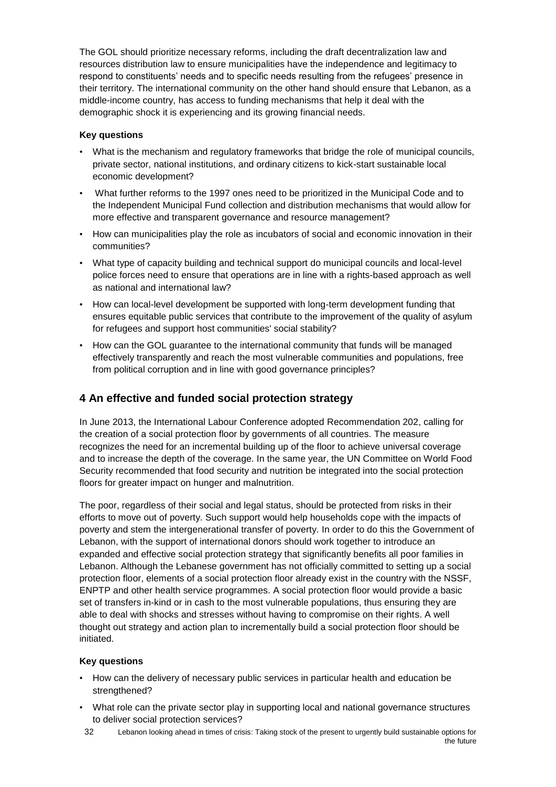The GOL should prioritize necessary reforms, including the draft decentralization law and resources distribution law to ensure municipalities have the independence and legitimacy to respond to constituents' needs and to specific needs resulting from the refugees' presence in their territory. The international community on the other hand should ensure that Lebanon, as a middle-income country, has access to funding mechanisms that help it deal with the demographic shock it is experiencing and its growing financial needs.

#### **Key questions**

- What is the mechanism and regulatory frameworks that bridge the role of municipal councils, private sector, national institutions, and ordinary citizens to kick-start sustainable local economic development?
- What further reforms to the 1997 ones need to be prioritized in the Municipal Code and to the Independent Municipal Fund collection and distribution mechanisms that would allow for more effective and transparent governance and resource management?
- How can municipalities play the role as incubators of social and economic innovation in their communities?
- What type of capacity building and technical support do municipal councils and local-level police forces need to ensure that operations are in line with a rights-based approach as well as national and international law?
- How can local-level development be supported with long-term development funding that ensures equitable public services that contribute to the improvement of the quality of asylum for refugees and support host communities' social stability?
- How can the GOL guarantee to the international community that funds will be managed effectively transparently and reach the most vulnerable communities and populations, free from political corruption and in line with good governance principles?

#### **4 An effective and funded social protection strategy**

In June 2013, the International Labour Conference adopted Recommendation 202, calling for the creation of a social protection floor by governments of all countries. The measure recognizes the need for an incremental building up of the floor to achieve universal coverage and to increase the depth of the coverage. In the same year, the UN Committee on World Food Security recommended that food security and nutrition be integrated into the social protection floors for greater impact on hunger and malnutrition.

The poor, regardless of their social and legal status, should be protected from risks in their efforts to move out of poverty. Such support would help households cope with the impacts of poverty and stem the intergenerational transfer of poverty. In order to do this the Government of Lebanon, with the support of international donors should work together to introduce an expanded and effective social protection strategy that significantly benefits all poor families in Lebanon. Although the Lebanese government has not officially committed to setting up a social protection floor, elements of a social protection floor already exist in the country with the NSSF, ENPTP and other health service programmes. A social protection floor would provide a basic set of transfers in-kind or in cash to the most vulnerable populations, thus ensuring they are able to deal with shocks and stresses without having to compromise on their rights. A well thought out strategy and action plan to incrementally build a social protection floor should be initiated.

#### **Key questions**

- How can the delivery of necessary public services in particular health and education be strengthened?
- What role can the private sector play in supporting local and national governance structures to deliver social protection services?
- 32 Lebanon looking ahead in times of crisis: Taking stock of the present to urgently build sustainable options for the future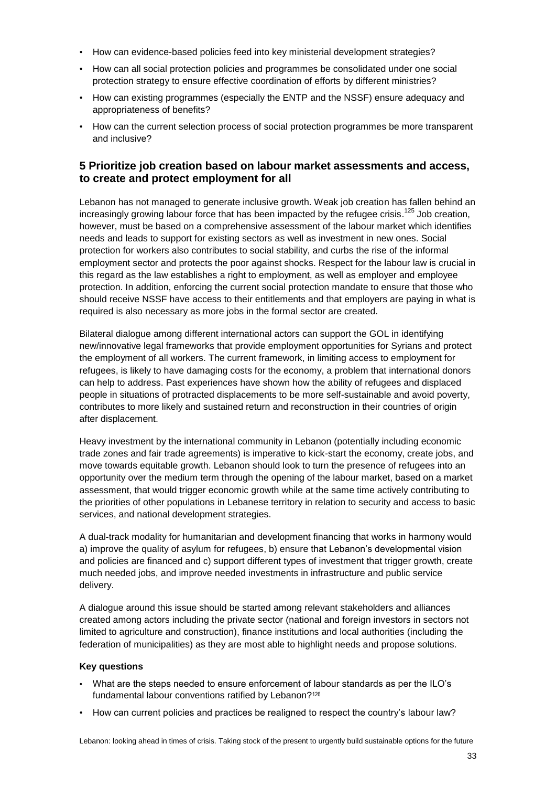- How can evidence-based policies feed into key ministerial development strategies?
- How can all social protection policies and programmes be consolidated under one social protection strategy to ensure effective coordination of efforts by different ministries?
- How can existing programmes (especially the ENTP and the NSSF) ensure adequacy and appropriateness of benefits?
- How can the current selection process of social protection programmes be more transparent and inclusive?

#### **5 Prioritize job creation based on labour market assessments and access, to create and protect employment for all**

Lebanon has not managed to generate inclusive growth. Weak job creation has fallen behind an increasingly growing labour force that has been impacted by the refugee crisis.<sup>125</sup> Job creation, however, must be based on a comprehensive assessment of the labour market which identifies needs and leads to support for existing sectors as well as investment in new ones. Social protection for workers also contributes to social stability, and curbs the rise of the informal employment sector and protects the poor against shocks. Respect for the labour law is crucial in this regard as the law establishes a right to employment, as well as employer and employee protection. In addition, enforcing the current social protection mandate to ensure that those who should receive NSSF have access to their entitlements and that employers are paying in what is required is also necessary as more jobs in the formal sector are created.

Bilateral dialogue among different international actors can support the GOL in identifying new/innovative legal frameworks that provide employment opportunities for Syrians and protect the employment of all workers. The current framework, in limiting access to employment for refugees, is likely to have damaging costs for the economy, a problem that international donors can help to address. Past experiences have shown how the ability of refugees and displaced people in situations of protracted displacements to be more self-sustainable and avoid poverty, contributes to more likely and sustained return and reconstruction in their countries of origin after displacement.

Heavy investment by the international community in Lebanon (potentially including economic trade zones and fair trade agreements) is imperative to kick-start the economy, create jobs, and move towards equitable growth. Lebanon should look to turn the presence of refugees into an opportunity over the medium term through the opening of the labour market, based on a market assessment, that would trigger economic growth while at the same time actively contributing to the priorities of other populations in Lebanese territory in relation to security and access to basic services, and national development strategies.

A dual-track modality for humanitarian and development financing that works in harmony would a) improve the quality of asylum for refugees, b) ensure that Lebanon's developmental vision and policies are financed and c) support different types of investment that trigger growth, create much needed jobs, and improve needed investments in infrastructure and public service delivery.

A dialogue around this issue should be started among relevant stakeholders and alliances created among actors including the private sector (national and foreign investors in sectors not limited to agriculture and construction), finance institutions and local authorities (including the federation of municipalities) as they are most able to highlight needs and propose solutions.

#### **Key questions**

- What are the steps needed to ensure enforcement of labour standards as per the ILO's fundamental labour conventions ratified by Lebanon?<sup>126</sup>
- How can current policies and practices be realigned to respect the country's labour law?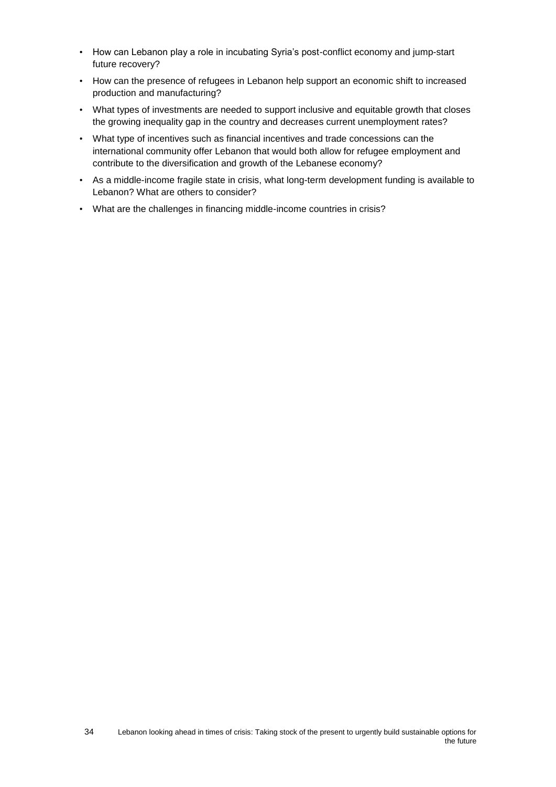- How can Lebanon play a role in incubating Syria's post-conflict economy and jump-start future recovery?
- How can the presence of refugees in Lebanon help support an economic shift to increased production and manufacturing?
- What types of investments are needed to support inclusive and equitable growth that closes the growing inequality gap in the country and decreases current unemployment rates?
- What type of incentives such as financial incentives and trade concessions can the international community offer Lebanon that would both allow for refugee employment and contribute to the diversification and growth of the Lebanese economy?
- As a middle-income fragile state in crisis, what long-term development funding is available to Lebanon? What are others to consider?
- What are the challenges in financing middle-income countries in crisis?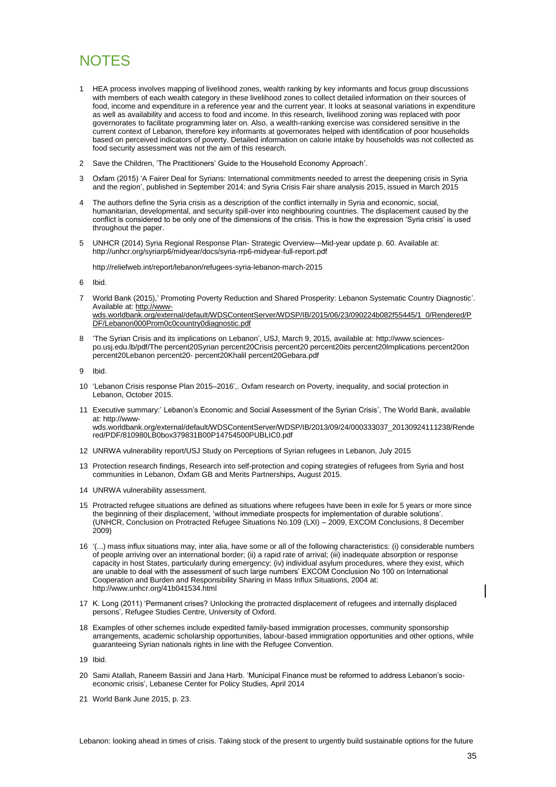## <span id="page-34-0"></span>**NOTES**

- 1 HEA process involves mapping of livelihood zones, wealth ranking by key informants and focus group discussions with members of each wealth category in these livelihood zones to collect detailed information on their sources of food, income and expenditure in a reference year and the current year. It looks at seasonal variations in expenditure as well as availability and access to food and income. In this research, livelihood zoning was replaced with poor governorates to facilitate programming later on. Also, a wealth-ranking exercise was considered sensitive in the current context of Lebanon, therefore key informants at governorates helped with identification of poor households based on perceived indicators of poverty. Detailed information on calorie intake by households was not collected as food security assessment was not the aim of this research.
- 2 Save the Children, 'The Practitioners' Guide to the Household Economy Approach'.
- 3 Oxfam (2015) 'A Fairer Deal for Syrians: International commitments needed to arrest the deepening crisis in Syria and the region', published in September 2014; and Syria Crisis Fair share analysis 2015, issued in March 2015
- 4 The authors define the Syria crisis as a description of the conflict internally in Syria and economic, social, humanitarian, developmental, and security spill-over into neighbouring countries. The displacement caused by the conflict is considered to be only one of the dimensions of the crisis. This is how the expression 'Syria crisis' is used throughout the paper.
- 5 UNHCR (2014) Syria Regional Response Plan- Strategic Overview—Mid-year update p. 60. Available at: <http://unhcr.org/syriarp6/midyear/docs/syria-rrp6-midyear-full-report.pdf>

http://reliefweb.int/report/lebanon/refugees-syria-lebanon-march-2015

6 Ibid.

- 7 World Bank (2015),' Promoting Poverty Reduction and Shared Prosperity: Lebanon Systematic Country Diagnostic'. Available at: [http://www](http://www-wds.worldbank.org/external/default/WDSContentServer/WDSP/IB/2015/06/23/090224b082f55445/1_0/Rendered/PDF/Lebanon000Prom0c0country0diagnostic.pdf)[wds.worldbank.org/external/default/WDSContentServer/WDSP/IB/2015/06/23/090224b082f55445/1\\_0/Rendered/P](http://www-wds.worldbank.org/external/default/WDSContentServer/WDSP/IB/2015/06/23/090224b082f55445/1_0/Rendered/PDF/Lebanon000Prom0c0country0diagnostic.pdf) [DF/Lebanon000Prom0c0country0diagnostic.pdf](http://www-wds.worldbank.org/external/default/WDSContentServer/WDSP/IB/2015/06/23/090224b082f55445/1_0/Rendered/PDF/Lebanon000Prom0c0country0diagnostic.pdf)
- 8 'The Syrian Crisis and its implications on Lebanon', USJ, March 9, 2015, available at[: http://www.sciences](http://www.sciences-po.usj.edu.lb/pdf/The%20Syrian%20Crisis%20%20its%20Implications%20on%20Lebanon%20-%20Khalil%20Gebara.pdf)[po.usj.edu.lb/pdf/The percent20Syrian percent20Crisis percent20 percent20its percent20Implications percent20on](http://www.sciences-po.usj.edu.lb/pdf/The%20Syrian%20Crisis%20%20its%20Implications%20on%20Lebanon%20-%20Khalil%20Gebara.pdf)  percent20Lebanon percent20- [percent20Khalil percent20Gebara.pdf](http://www.sciences-po.usj.edu.lb/pdf/The%20Syrian%20Crisis%20%20its%20Implications%20on%20Lebanon%20-%20Khalil%20Gebara.pdf)

9 Ibid.

- 10 'Lebanon Crisis response Plan 2015–2016',. Oxfam research on Poverty, inequality, and social protection in Lebanon, October 2015.
- 11 Executive summary:' Lebanon's Economic and Social Assessment of the Syrian Crisis', The World Bank, available at[: http://www](http://www-wds.worldbank.org/external/default/WDSContentServer/WDSP/IB/2013/09/24/000333037_20130924111238/Rendered/PDF/810980LB0box379831B00P14754500PUBLIC0.pdf)[wds.worldbank.org/external/default/WDSContentServer/WDSP/IB/2013/09/24/000333037\\_20130924111238/Rende](http://www-wds.worldbank.org/external/default/WDSContentServer/WDSP/IB/2013/09/24/000333037_20130924111238/Rendered/PDF/810980LB0box379831B00P14754500PUBLIC0.pdf) [red/PDF/810980LB0box379831B00P14754500PUBLIC0.pdf](http://www-wds.worldbank.org/external/default/WDSContentServer/WDSP/IB/2013/09/24/000333037_20130924111238/Rendered/PDF/810980LB0box379831B00P14754500PUBLIC0.pdf)
- 12 UNRWA vulnerability report/USJ Study on Perceptions of Syrian refugees in Lebanon, July 2015
- 13 Protection research findings, Research into self-protection and coping strategies of refugees from Syria and host communities in Lebanon, Oxfam GB and Merits Partnerships, August 2015.
- 14 UNRWA vulnerability assessment.
- 15 Protracted refugee situations are defined as situations where refugees have been in exile for 5 years or more since the beginning of their displacement, 'without immediate prospects for implementation of durable solutions'. (UNHCR, Conclusion on Protracted Refugee Situations No.109 (LXI) – 2009, EXCOM Conclusions, 8 December 2009)
- 16 '(...) mass influx situations may, inter alia, have some or all of the following characteristics: (i) considerable numbers of people arriving over an international border; (ii) a rapid rate of arrival; (iii) inadequate absorption or response capacity in host States, particularly during emergency; (iv) individual asylum procedures, where they exist, which are unable to deal with the assessment of such large numbers' EXCOM Conclusion No 100 on International Cooperation and Burden and Responsibility Sharing in Mass Influx Situations, 2004 at: <http://www.unhcr.org/41b041534.html>
- 17 K. Long (2011) 'Permanent crises? Unlocking the protracted displacement of refugees and internally displaced persons', Refugee Studies Centre, University of Oxford.
- 18 Examples of other schemes include expedited family-based immigration processes, community sponsorship arrangements, academic scholarship opportunities, labour-based immigration opportunities and other options, while guaranteeing Syrian nationals rights in line with the Refugee Convention.

19 Ibid.

- 20 Sami Atallah, Raneem Bassiri and Jana Harb. 'Municipal Finance must be reformed to address Lebanon's socioeconomic crisis', Lebanese Center for Policy Studies, April 2014
- 21 World Bank June 2015, p. 23.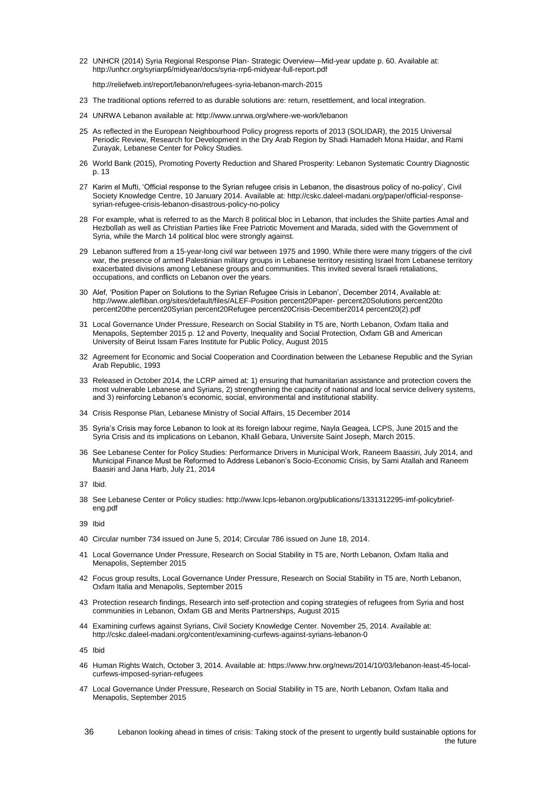22 UNHCR (2014) Syria Regional Response Plan- Strategic Overview—Mid-year update p. 60. Available at: <http://unhcr.org/syriarp6/midyear/docs/syria-rrp6-midyear-full-report.pdf>

http://reliefweb.int/report/lebanon/refugees-syria-lebanon-march-2015

- 23 The traditional options referred to as durable solutions are: return, resettlement, and local integration.
- 24 UNRWA Lebanon available at: http://www.unrwa.org/where-we-work/lebanon
- 25 As reflected in the European Neighbourhood Policy progress reports of 2013 (SOLIDAR), the 2015 Universal Periodic Review, Research for Development in the Dry Arab Region by Shadi Hamadeh Mona Haidar, and Rami Zurayak, Lebanese Center for Policy Studies.
- 26 World Bank (2015), Promoting Poverty Reduction and Shared Prosperity: Lebanon Systematic Country Diagnostic p. 13
- 27 Karim el Mufti, 'Official response to the Syrian refugee crisis in Lebanon, the disastrous policy of no-policy', Civil Society Knowledge Centre, 10 January 2014. Available at: [http://cskc.daleel-madani.org/paper/official-response](http://cskc.daleel-madani.org/paper/official-response-syrian-refugee-crisis-lebanon-disastrous-policy-no-policy)[syrian-refugee-crisis-lebanon-disastrous-policy-no-policy](http://cskc.daleel-madani.org/paper/official-response-syrian-refugee-crisis-lebanon-disastrous-policy-no-policy)
- 28 For example, what is referred to as the March 8 political bloc in Lebanon, that includes the Shiite parties Amal and Hezbollah as well as Christian Parties like Free Patriotic Movement and Marada, sided with the Government of Syria, while the March 14 political bloc were strongly against.
- 29 Lebanon suffered from a 15-year-long civil war between 1975 and 1990. While there were many triggers of the civil war, the presence of armed Palestinian military groups in Lebanese territory resisting Israel from Lebanese territory exacerbated divisions among Lebanese groups and communities. This invited several Israeli retaliations, occupations, and conflicts on Lebanon over the years.
- 30 Alef, 'Position Paper on Solutions to the Syrian Refugee Crisis in Lebanon', December 2014, Available at: [http://www.alefliban.org/sites/default/files/ALEF-Position percent20Paper-](http://www.alefliban.org/sites/default/files/ALEF-Position%20Paper-%20Solutions%20to%20the%20Syrian%20Refugee%20Crisis-December2014%20(2).pdf) percent20Solutions percent20to [percent20the percent20Syrian percent20Refugee percent20Crisis-December2014 percent20\(2\).pdf](http://www.alefliban.org/sites/default/files/ALEF-Position%20Paper-%20Solutions%20to%20the%20Syrian%20Refugee%20Crisis-December2014%20(2).pdf)
- 31 Local Governance Under Pressure, Research on Social Stability in T5 are, North Lebanon, Oxfam Italia and Menapolis, September 2015 p. 12 and Poverty, Inequality and Social Protection, Oxfam GB and American University of Beirut Issam Fares Institute for Public Policy, August 2015
- 32 Agreement for Economic and Social Cooperation and Coordination between the Lebanese Republic and the Syrian Arab Republic, 1993
- 33 Released in October 2014, the LCRP aimed at: 1) ensuring that humanitarian assistance and protection covers the most vulnerable Lebanese and Syrians, 2) strengthening the capacity of national and local service delivery systems, and 3) reinforcing Lebanon's economic, social, environmental and institutional stability.
- 34 Crisis Response Plan, Lebanese Ministry of Social Affairs, 15 December 2014
- 35 Syria's Crisis may force Lebanon to look at its foreign labour regime, Nayla Geagea, LCPS, June 2015 and the Syria Crisis and its implications on Lebanon, Khalil Gebara, Universite Saint Joseph, March 2015.
- 36 See Lebanese Center for Policy Studies: Performance Drivers in Municipal Work, Raneem Baassiri, July 2014, and Municipal Finance Must be Reformed to Address Lebanon's Socio-Economic Crisis, by Sami Atallah and Raneem Baasiri and Jana Harb, July 21, 2014
- 37 Ibid.
- 38 See Lebanese Center or Policy studies: [http://www.lcps-lebanon.org/publications/1331312295-imf-policybrief](http://www.lcps-lebanon.org/publications/1331312295-imf-policybrief-eng.pdf)[eng.pdf](http://www.lcps-lebanon.org/publications/1331312295-imf-policybrief-eng.pdf)

39 Ibid

- 40 Circular number 734 issued on June 5, 2014; Circular 786 issued on June 18, 2014.
- 41 Local Governance Under Pressure, Research on Social Stability in T5 are, North Lebanon, Oxfam Italia and Menapolis, September 2015
- 42 Focus group results, Local Governance Under Pressure, Research on Social Stability in T5 are, North Lebanon, Oxfam Italia and Menapolis, September 2015
- 43 Protection research findings, Research into self-protection and coping strategies of refugees from Syria and host communities in Lebanon, Oxfam GB and Merits Partnerships, August 2015
- 44 Examining curfews against Syrians, Civil Society Knowledge Center. November 25, 2014. Available at: <http://cskc.daleel-madani.org/content/examining-curfews-against-syrians-lebanon-0>

45 Ibid

- 46 Human Rights Watch, October 3, 2014. Available at: [https://www.hrw.org/news/2014/10/03/lebanon-least-45-local](https://www.hrw.org/news/2014/10/03/lebanon-least-45-local-curfews-imposed-syrian-refugees)[curfews-imposed-syrian-refugees](https://www.hrw.org/news/2014/10/03/lebanon-least-45-local-curfews-imposed-syrian-refugees)
- 47 Local Governance Under Pressure, Research on Social Stability in T5 are, North Lebanon, Oxfam Italia and Menapolis, September 2015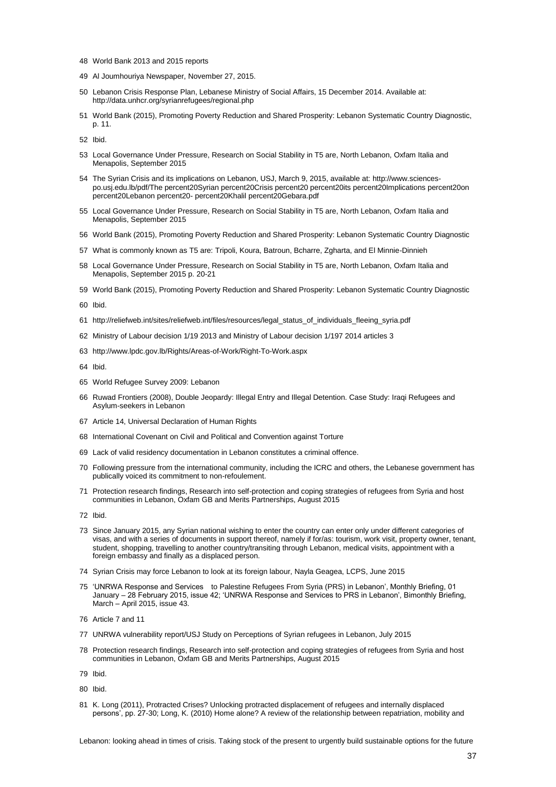- World Bank 2013 and 2015 reports
- Al Joumhouriya Newspaper, November 27, 2015.
- Lebanon Crisis Response Plan, Lebanese Ministry of Social Affairs, 15 December 2014. Available at: <http://data.unhcr.org/syrianrefugees/regional.php>
- World Bank (2015), Promoting Poverty Reduction and Shared Prosperity: Lebanon Systematic Country Diagnostic, p. 11.

Ibid.

- Local Governance Under Pressure, Research on Social Stability in T5 are, North Lebanon, Oxfam Italia and Menapolis, September 2015
- The Syrian Crisis and its implications on Lebanon, USJ, March 9, 2015, available at: [http://www.sciences](http://www.sciences-po.usj.edu.lb/pdf/The%20Syrian%20Crisis%20%20its%20Implications%20on%20Lebanon%20-%20Khalil%20Gebara.pdf)[po.usj.edu.lb/pdf/The percent20Syrian percent20Crisis percent20 percent20its percent20Implications percent20on](http://www.sciences-po.usj.edu.lb/pdf/The%20Syrian%20Crisis%20%20its%20Implications%20on%20Lebanon%20-%20Khalil%20Gebara.pdf)  percent20Lebanon percent20- [percent20Khalil percent20Gebara.pdf](http://www.sciences-po.usj.edu.lb/pdf/The%20Syrian%20Crisis%20%20its%20Implications%20on%20Lebanon%20-%20Khalil%20Gebara.pdf)
- Local Governance Under Pressure, Research on Social Stability in T5 are, North Lebanon, Oxfam Italia and Menapolis, September 2015
- World Bank (2015), Promoting Poverty Reduction and Shared Prosperity: Lebanon Systematic Country Diagnostic
- What is commonly known as T5 are: Tripoli, Koura, Batroun, Bcharre, Zgharta, and El Minnie-Dinnieh
- Local Governance Under Pressure, Research on Social Stability in T5 are, North Lebanon, Oxfam Italia and Menapolis, September 2015 p. 20-21
- World Bank (2015), Promoting Poverty Reduction and Shared Prosperity: Lebanon Systematic Country Diagnostic

Ibid.

- http://reliefweb.int/sites/reliefweb.int/files/resources/legal\_status\_of\_individuals\_fleeing\_syria.pdf
- Ministry of Labour decision 1/19 2013 and Ministry of Labour decision 1/197 2014 articles 3
- <http://www.lpdc.gov.lb/Rights/Areas-of-Work/Right-To-Work.aspx>

Ibid.

- World Refugee Survey 2009: Lebanon
- Ruwad Frontiers (2008), Double Jeopardy: Illegal Entry and Illegal Detention. Case Study: Iraqi Refugees and Asylum-seekers in Lebanon
- Article 14, Universal Declaration of Human Rights
- International Covenant on Civil and Political and Convention against Torture
- Lack of valid residency documentation in Lebanon constitutes a criminal offence.
- Following pressure from the international community, including the ICRC and others, the Lebanese government has publically voiced its commitment to non-refoulement.
- Protection research findings, Research into self-protection and coping strategies of refugees from Syria and host communities in Lebanon, Oxfam GB and Merits Partnerships, August 2015
- Ibid.
- Since January 2015, any Syrian national wishing to enter the country can enter only under different categories of visas, and with a series of documents in support thereof, namely if for/as: tourism, work visit, property owner, tenant, student, shopping, travelling to another country/transiting through Lebanon, medical visits, appointment with a foreign embassy and finally as a displaced person.
- Syrian Crisis may force Lebanon to look at its foreign labour, Nayla Geagea, LCPS, June 2015
- 'UNRWA Response and Services to Palestine Refugees From Syria (PRS) in Lebanon', Monthly Briefing, 01 January – 28 February 2015, issue 42; 'UNRWA Response and Services to PRS in Lebanon', Bimonthly Briefing, March – April 2015, issue 43.
- Article 7 and 11
- UNRWA vulnerability report/USJ Study on Perceptions of Syrian refugees in Lebanon, July 2015
- Protection research findings, Research into self-protection and coping strategies of refugees from Syria and host communities in Lebanon, Oxfam GB and Merits Partnerships, August 2015

Ibid.

Ibid.

 K. Long (2011), Protracted Crises? Unlocking protracted displacement of refugees and internally displaced persons', pp. 27-30; Long, K. (2010) Home alone? A review of the relationship between repatriation, mobility and

Lebanon: looking ahead in times of crisis. Taking stock of the present to urgently build sustainable options for the future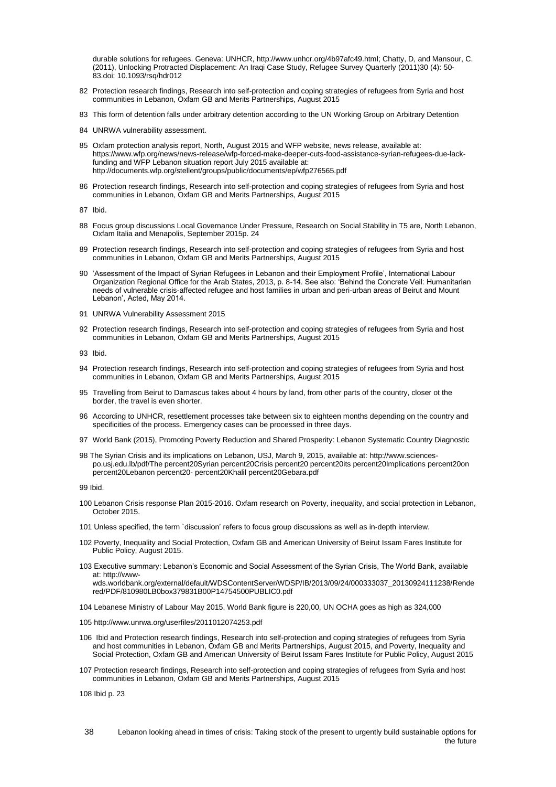durable solutions for refugees. Geneva: UNHCR, [http://www.unhcr.org/4b97afc49.html;](http://www.unhcr.org/4b97afc49.html) Chatty, D, and Mansour, C. (2011), Unlocking Protracted Displacement: An Iraqi Case Study, Refugee Survey Quarterly (2011)30 (4): 50- 83.doi: 10.1093/rsq/hdr012

- 82 Protection research findings, Research into self-protection and coping strategies of refugees from Syria and host communities in Lebanon, Oxfam GB and Merits Partnerships, August 2015
- 83 This form of detention falls under arbitrary detention according to the UN Working Group on Arbitrary Detention
- 84 UNRWA vulnerability assessment.
- 85 Oxfam protection analysis report, North, August 2015 and WFP website, news release, available at: [https://www.wfp.org/news/news-release/wfp-forced-make-deeper-cuts-food-assistance-syrian-refugees-due-lack](https://www.wfp.org/news/news-release/wfp-forced-make-deeper-cuts-food-assistance-syrian-refugees-due-lack-funding)[funding](https://www.wfp.org/news/news-release/wfp-forced-make-deeper-cuts-food-assistance-syrian-refugees-due-lack-funding) and WFP Lebanon situation report July 2015 available at: <http://documents.wfp.org/stellent/groups/public/documents/ep/wfp276565.pdf>
- 86 Protection research findings, Research into self-protection and coping strategies of refugees from Syria and host communities in Lebanon, Oxfam GB and Merits Partnerships, August 2015
- 87 Ibid.
- 88 Focus group discussions Local Governance Under Pressure, Research on Social Stability in T5 are, North Lebanon, Oxfam Italia and Menapolis, September 2015p. 24
- 89 Protection research findings, Research into self-protection and coping strategies of refugees from Syria and host communities in Lebanon, Oxfam GB and Merits Partnerships, August 2015
- 90 'Assessment of the Impact of Syrian Refugees in Lebanon and their Employment Profile', International Labour Organization Regional Office for the Arab States, 2013, p. 8-14. See also: 'Behind the Concrete Veil: Humanitarian needs of vulnerable crisis-affected refugee and host families in urban and peri-urban areas of Beirut and Mount Lebanon', Acted, May 2014.
- 91 UNRWA Vulnerability Assessment 2015
- 92 Protection research findings, Research into self-protection and coping strategies of refugees from Syria and host communities in Lebanon, Oxfam GB and Merits Partnerships, August 2015
- 93 Ibid.
- 94 Protection research findings, Research into self-protection and coping strategies of refugees from Syria and host communities in Lebanon, Oxfam GB and Merits Partnerships, August 2015
- 95 Travelling from Beirut to Damascus takes about 4 hours by land, from other parts of the country, closer ot the border, the travel is even shorter.
- 96 According to UNHCR, resettlement processes take between six to eighteen months depending on the country and specificities of the process. Emergency cases can be processed in three days.
- 97 World Bank (2015), Promoting Poverty Reduction and Shared Prosperity: Lebanon Systematic Country Diagnostic
- 98 The Syrian Crisis and its implications on Lebanon, USJ, March 9, 2015, available at: [http://www.sciences](http://www.sciences-po.usj.edu.lb/pdf/The%20Syrian%20Crisis%20%20its%20Implications%20on%20Lebanon%20-%20Khalil%20Gebara.pdf)[po.usj.edu.lb/pdf/The percent20Syrian percent20Crisis percent20 percent20its percent20Implications percent20on](http://www.sciences-po.usj.edu.lb/pdf/The%20Syrian%20Crisis%20%20its%20Implications%20on%20Lebanon%20-%20Khalil%20Gebara.pdf)  percent20Lebanon percent20- [percent20Khalil percent20Gebara.pdf](http://www.sciences-po.usj.edu.lb/pdf/The%20Syrian%20Crisis%20%20its%20Implications%20on%20Lebanon%20-%20Khalil%20Gebara.pdf)

99 Ibid.

- 100 Lebanon Crisis response Plan 2015-2016. Oxfam research on Poverty, inequality, and social protection in Lebanon, October 2015.
- 101 Unless specified, the term `discussion' refers to focus group discussions as well as in-depth interview.
- 102 Poverty, Inequality and Social Protection, Oxfam GB and American University of Beirut Issam Fares Institute for Public Policy, August 2015.
- 103 Executive summary: Lebanon's Economic and Social Assessment of the Syrian Crisis, The World Bank, available at[: http://www-](http://www-wds.worldbank.org/external/default/WDSContentServer/WDSP/IB/2013/09/24/000333037_20130924111238/Rendered/PDF/810980LB0box379831B00P14754500PUBLIC0.pdf)

[wds.worldbank.org/external/default/WDSContentServer/WDSP/IB/2013/09/24/000333037\\_20130924111238/Rende](http://www-wds.worldbank.org/external/default/WDSContentServer/WDSP/IB/2013/09/24/000333037_20130924111238/Rendered/PDF/810980LB0box379831B00P14754500PUBLIC0.pdf) [red/PDF/810980LB0box379831B00P14754500PUBLIC0.pdf](http://www-wds.worldbank.org/external/default/WDSContentServer/WDSP/IB/2013/09/24/000333037_20130924111238/Rendered/PDF/810980LB0box379831B00P14754500PUBLIC0.pdf)

104 Lebanese Ministry of Labour May 2015, World Bank figure is 220,00, UN OCHA goes as high as 324,000

- 105 http://www.unrwa.org/userfiles/2011012074253.pdf
- 106 Ibid and Protection research findings, Research into self-protection and coping strategies of refugees from Syria and host communities in Lebanon, Oxfam GB and Merits Partnerships, August 2015, and Poverty, Inequality and Social Protection, Oxfam GB and American University of Beirut Issam Fares Institute for Public Policy, August 2015
- 107 Protection research findings, Research into self-protection and coping strategies of refugees from Syria and host communities in Lebanon, Oxfam GB and Merits Partnerships, August 2015

108 Ibid p. 23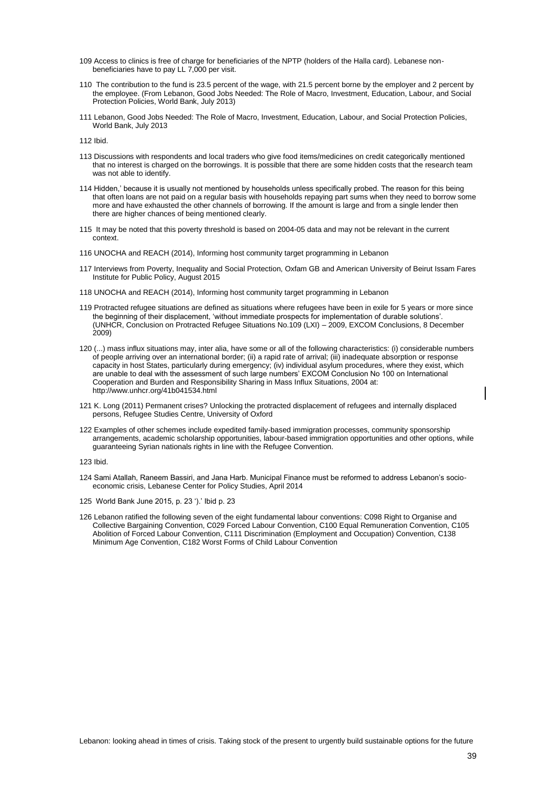- 109 Access to clinics is free of charge for beneficiaries of the NPTP (holders of the Halla card). Lebanese nonbeneficiaries have to pay LL 7,000 per visit.
- 110 The contribution to the fund is 23.5 percent of the wage, with 21.5 percent borne by the employer and 2 percent by the employee. (From Lebanon, Good Jobs Needed: The Role of Macro, Investment, Education, Labour, and Social Protection Policies, World Bank, July 2013)
- 111 Lebanon, Good Jobs Needed: The Role of Macro, Investment, Education, Labour, and Social Protection Policies, World Bank, July 2013

112 Ibid.

- 113 Discussions with respondents and local traders who give food items/medicines on credit categorically mentioned that no interest is charged on the borrowings. It is possible that there are some hidden costs that the research team was not able to identify.
- 114 Hidden,' because it is usually not mentioned by households unless specifically probed. The reason for this being that often loans are not paid on a regular basis with households repaying part sums when they need to borrow some more and have exhausted the other channels of borrowing. If the amount is large and from a single lender then there are higher chances of being mentioned clearly.
- 115 It may be noted that this poverty threshold is based on 2004-05 data and may not be relevant in the current context.
- 116 UNOCHA and REACH (2014), Informing host community target programming in Lebanon
- 117 Interviews from Poverty, Inequality and Social Protection, Oxfam GB and American University of Beirut Issam Fares Institute for Public Policy, August 2015
- 118 UNOCHA and REACH (2014), Informing host community target programming in Lebanon
- 119 Protracted refugee situations are defined as situations where refugees have been in exile for 5 years or more since the beginning of their displacement, 'without immediate prospects for implementation of durable solutions'. (UNHCR, Conclusion on Protracted Refugee Situations No.109 (LXI) – 2009, EXCOM Conclusions, 8 December 2009)
- 120 (...) mass influx situations may, inter alia, have some or all of the following characteristics: (i) considerable numbers of people arriving over an international border; (ii) a rapid rate of arrival; (iii) inadequate absorption or response capacity in host States, particularly during emergency; (iv) individual asylum procedures, where they exist, which are unable to deal with the assessment of such large numbers' EXCOM Conclusion No 100 on International Cooperation and Burden and Responsibility Sharing in Mass Influx Situations, 2004 at: <http://www.unhcr.org/41b041534.html>
- 121 K. Long (2011) Permanent crises? Unlocking the protracted displacement of refugees and internally displaced persons, Refugee Studies Centre, University of Oxford
- 122 Examples of other schemes include expedited family-based immigration processes, community sponsorship arrangements, academic scholarship opportunities, labour-based immigration opportunities and other options, while guaranteeing Syrian nationals rights in line with the Refugee Convention.

123 Ibid.

- 124 Sami Atallah, Raneem Bassiri, and Jana Harb. Municipal Finance must be reformed to address Lebanon's socioeconomic crisis, Lebanese Center for Policy Studies, April 2014
- 125 World Bank June 2015, p. 23 ').' Ibid p. 23
- 126 Lebanon ratified the following seven of the eight fundamental labour conventions: C098 Right to Organise and Collective Bargaining Convention, C029 Forced Labour Convention, C100 Equal Remuneration Convention, C105 Abolition of Forced Labour Convention, C111 Discrimination (Employment and Occupation) Convention, C138 Minimum Age Convention, C182 Worst Forms of Child Labour Convention